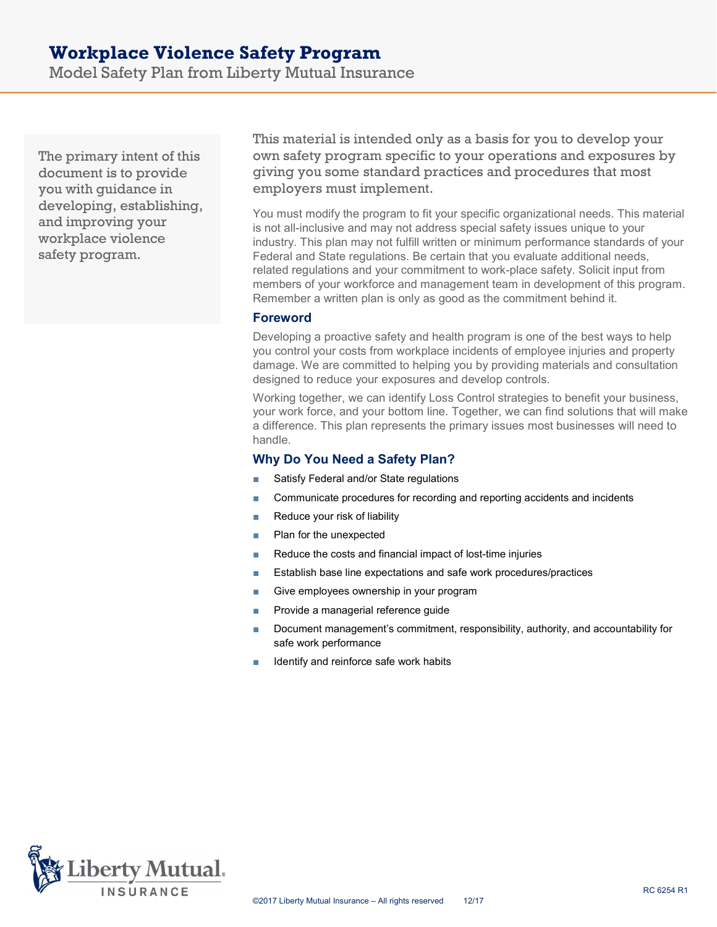# Workplace Violence Safety Program

Model Safety Plan from Liberty Mutual Insurance

The primary intent of this document is to provide you with guidance in developing, establishing, and improving your workplace violence safety program.

This material is intended only as a basis for you to develop your own safety program specific to your operations and exposures by giving you some standard practices and procedures that most employers must implement.

You must modify the program to fit your specific organizational needs. This material is not all-inclusive and may not address special safety issues unique to your industry. This plan may not fulfill written or minimum performance standards of your Federal and State regulations. Be certain that you evaluate additional needs, related regulations and your commitment to work-place safety. Solicit input from members of your workforce and management team in development of this program. Remember a written plan is only as good as the commitment behind it.

### Foreword

Developing a proactive safety and health program is one of the best ways to help you control your costs from workplace incidents of employee injuries and property damage. We are committed to helping you by providing materials and consultation designed to reduce your exposures and develop controls.

Working together, we can identify Loss Control strategies to benefit your business, your work force, and your bottom line. Together, we can find solutions that will make a difference. This plan represents the primary issues most businesses will need to handle.

### Why Do You Need a Safety Plan?

- Satisfy Federal and/or State regulations
- Communicate procedures for recording and reporting accidents and incidents
- Reduce your risk of liability
- Plan for the unexpected
- Reduce the costs and financial impact of lost-time injuries
- Establish base line expectations and safe work procedures/practices
- Give employees ownership in your program
- Provide a managerial reference guide
- Document management's commitment, responsibility, authority, and accountability for safe work performance
- Identify and reinforce safe work habits

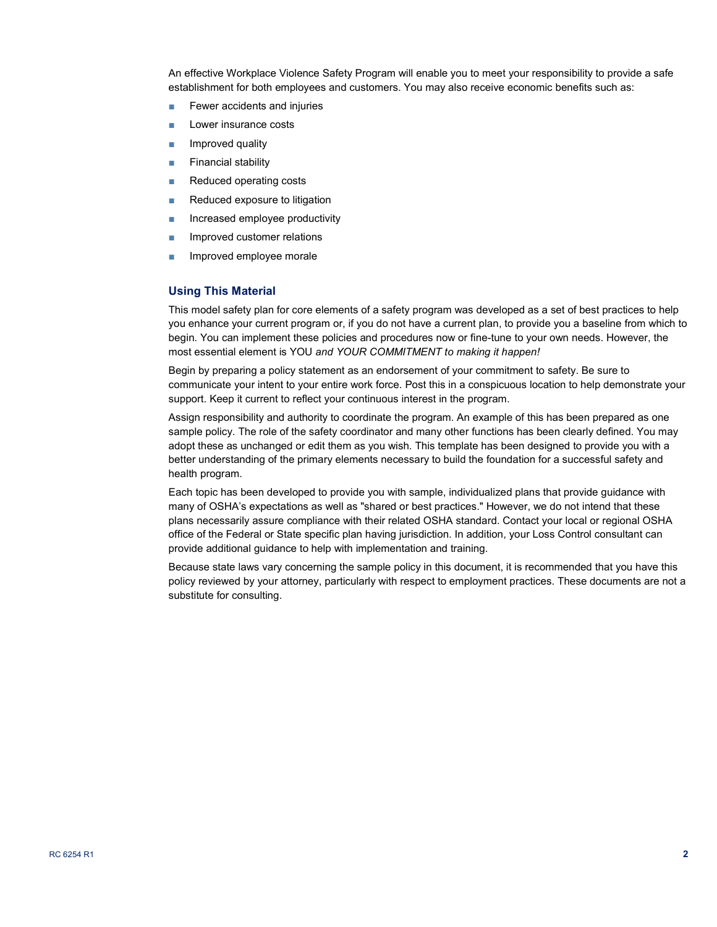An effective Workplace Violence Safety Program will enable you to meet your responsibility to provide a safe establishment for both employees and customers. You may also receive economic benefits such as:

- Fewer accidents and injuries
- Lower insurance costs
- Improved quality
- Financial stability
- Reduced operating costs
- Reduced exposure to litigation
- Increased employee productivity
- Improved customer relations
- Improved employee morale

### Using This Material

This model safety plan for core elements of a safety program was developed as a set of best practices to help you enhance your current program or, if you do not have a current plan, to provide you a baseline from which to begin. You can implement these policies and procedures now or fine-tune to your own needs. However, the most essential element is YOU and YOUR COMMITMENT to making it happen!

Begin by preparing a policy statement as an endorsement of your commitment to safety. Be sure to communicate your intent to your entire work force. Post this in a conspicuous location to help demonstrate your support. Keep it current to reflect your continuous interest in the program.

Assign responsibility and authority to coordinate the program. An example of this has been prepared as one sample policy. The role of the safety coordinator and many other functions has been clearly defined. You may adopt these as unchanged or edit them as you wish. This template has been designed to provide you with a better understanding of the primary elements necessary to build the foundation for a successful safety and health program.

Each topic has been developed to provide you with sample, individualized plans that provide guidance with many of OSHA's expectations as well as "shared or best practices." However, we do not intend that these plans necessarily assure compliance with their related OSHA standard. Contact your local or regional OSHA office of the Federal or State specific plan having jurisdiction. In addition, your Loss Control consultant can provide additional guidance to help with implementation and training.

Because state laws vary concerning the sample policy in this document, it is recommended that you have this policy reviewed by your attorney, particularly with respect to employment practices. These documents are not a substitute for consulting.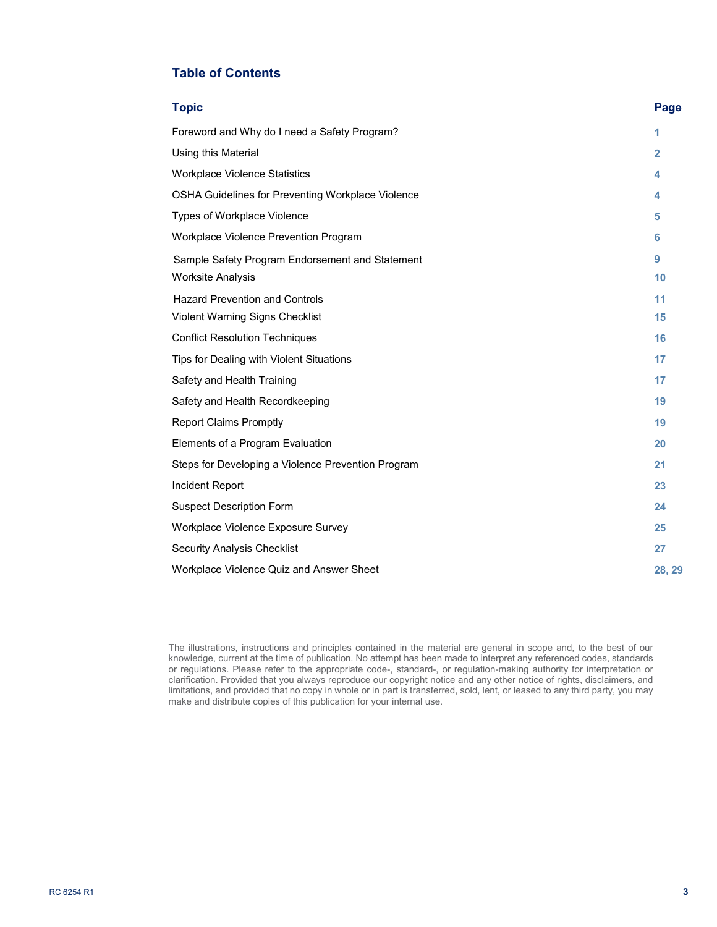## Table of Contents

| <b>Topic</b>                                                                | Page         |
|-----------------------------------------------------------------------------|--------------|
| Foreword and Why do I need a Safety Program?                                | 1            |
| Using this Material                                                         | $\mathbf{2}$ |
| <b>Workplace Violence Statistics</b>                                        | 4            |
| OSHA Guidelines for Preventing Workplace Violence                           | 4            |
| Types of Workplace Violence                                                 | 5            |
| Workplace Violence Prevention Program                                       | 6            |
| Sample Safety Program Endorsement and Statement<br><b>Worksite Analysis</b> | 9<br>10      |
| <b>Hazard Prevention and Controls</b>                                       | 11           |
| Violent Warning Signs Checklist                                             | 15           |
| <b>Conflict Resolution Techniques</b>                                       | 16           |
| Tips for Dealing with Violent Situations                                    | 17           |
| Safety and Health Training                                                  | 17           |
| Safety and Health Recordkeeping                                             | 19           |
| <b>Report Claims Promptly</b>                                               | 19           |
| Elements of a Program Evaluation                                            | 20           |
| Steps for Developing a Violence Prevention Program                          | 21           |
| Incident Report                                                             | 23           |
| <b>Suspect Description Form</b>                                             | 24           |
| Workplace Violence Exposure Survey                                          | 25           |
| <b>Security Analysis Checklist</b>                                          | 27           |
| Workplace Violence Quiz and Answer Sheet                                    | 28, 29       |

The illustrations, instructions and principles contained in the material are general in scope and, to the best of our knowledge, current at the time of publication. No attempt has been made to interpret any referenced codes, standards or regulations. Please refer to the appropriate code-, standard-, or regulation-making authority for interpretation or clarification. Provided that you always reproduce our copyright notice and any other notice of rights, disclaimers, and limitations, and provided that no copy in whole or in part is transferred, sold, lent, or leased to any third party, you may make and distribute copies of this publication for your internal use.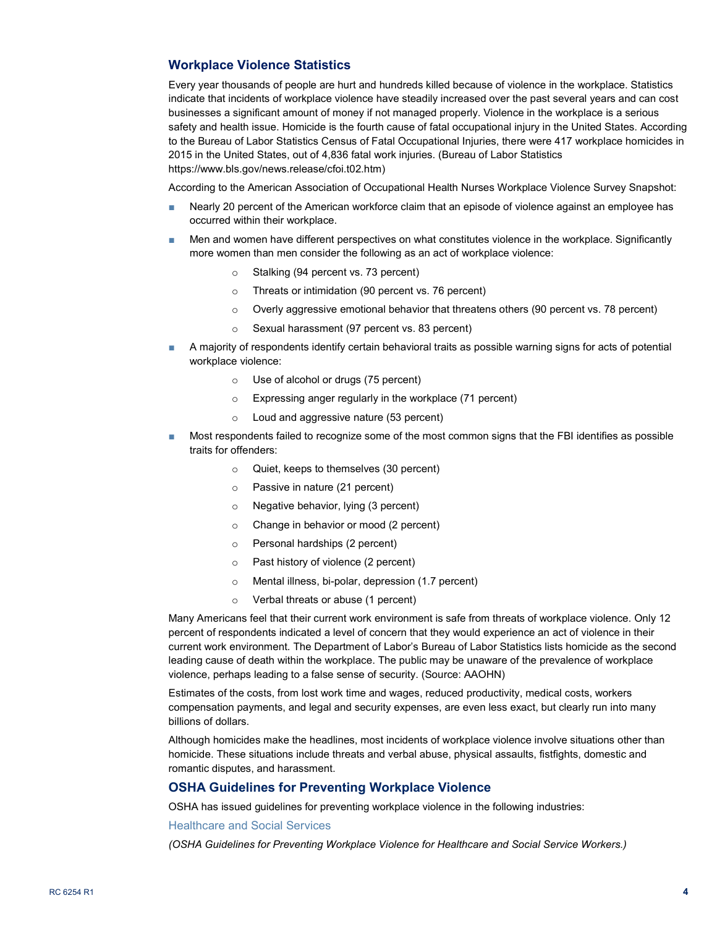### Workplace Violence Statistics

Every year thousands of people are hurt and hundreds killed because of violence in the workplace. Statistics indicate that incidents of workplace violence have steadily increased over the past several years and can cost businesses a significant amount of money if not managed properly. Violence in the workplace is a serious safety and health issue. Homicide is the fourth cause of fatal occupational injury in the United States. According to the Bureau of Labor Statistics Census of Fatal Occupational Injuries, there were 417 workplace homicides in 2015 in the United States, out of 4,836 fatal work injuries. (Bureau of Labor Statistics https://www.bls.gov/news.release/cfoi.t02.htm)

According to the American Association of Occupational Health Nurses Workplace Violence Survey Snapshot:

- Nearly 20 percent of the American workforce claim that an episode of violence against an employee has occurred within their workplace.
- Men and women have different perspectives on what constitutes violence in the workplace. Significantly more women than men consider the following as an act of workplace violence:
	- o Stalking (94 percent vs. 73 percent)
	- o Threats or intimidation (90 percent vs. 76 percent)
	- o Overly aggressive emotional behavior that threatens others (90 percent vs. 78 percent)
	- o Sexual harassment (97 percent vs. 83 percent)
- A majority of respondents identify certain behavioral traits as possible warning signs for acts of potential workplace violence:
	- o Use of alcohol or drugs (75 percent)
	- o Expressing anger regularly in the workplace (71 percent)
	- o Loud and aggressive nature (53 percent)
- Most respondents failed to recognize some of the most common signs that the FBI identifies as possible traits for offenders:
	- o Quiet, keeps to themselves (30 percent)
	- o Passive in nature (21 percent)
	- o Negative behavior, lying (3 percent)
	- o Change in behavior or mood (2 percent)
	- o Personal hardships (2 percent)
	- o Past history of violence (2 percent)
	- o Mental illness, bi-polar, depression (1.7 percent)
	- o Verbal threats or abuse (1 percent)

Many Americans feel that their current work environment is safe from threats of workplace violence. Only 12 percent of respondents indicated a level of concern that they would experience an act of violence in their current work environment. The Department of Labor's Bureau of Labor Statistics lists homicide as the second leading cause of death within the workplace. The public may be unaware of the prevalence of workplace violence, perhaps leading to a false sense of security. (Source: AAOHN)

Estimates of the costs, from lost work time and wages, reduced productivity, medical costs, workers compensation payments, and legal and security expenses, are even less exact, but clearly run into many billions of dollars.

Although homicides make the headlines, most incidents of workplace violence involve situations other than homicide. These situations include threats and verbal abuse, physical assaults, fistfights, domestic and romantic disputes, and harassment.

### OSHA Guidelines for Preventing Workplace Violence

OSHA has issued guidelines for preventing workplace violence in the following industries:

Healthcare and Social Services

(OSHA Guidelines for Preventing Workplace Violence for Healthcare and Social Service Workers.)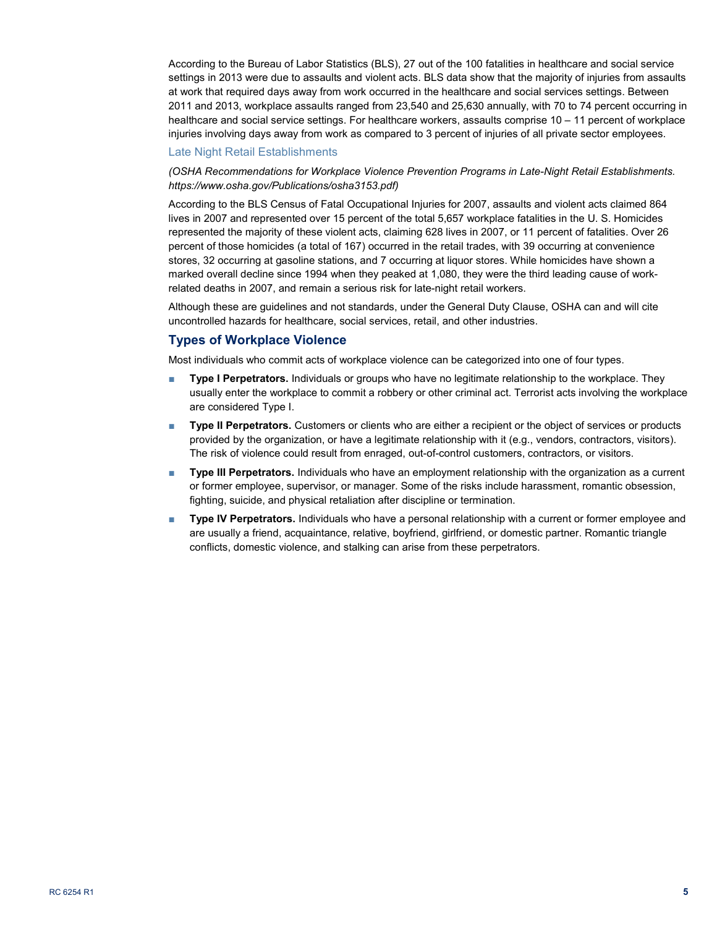According to the Bureau of Labor Statistics (BLS), 27 out of the 100 fatalities in healthcare and social service settings in 2013 were due to assaults and violent acts. BLS data show that the majority of injuries from assaults at work that required days away from work occurred in the healthcare and social services settings. Between 2011 and 2013, workplace assaults ranged from 23,540 and 25,630 annually, with 70 to 74 percent occurring in healthcare and social service settings. For healthcare workers, assaults comprise 10 – 11 percent of workplace injuries involving days away from work as compared to 3 percent of injuries of all private sector employees.

#### Late Night Retail Establishments

### (OSHA Recommendations for Workplace Violence Prevention Programs in Late-Night Retail Establishments. https://www.osha.gov/Publications/osha3153.pdf)

According to the BLS Census of Fatal Occupational Injuries for 2007, assaults and violent acts claimed 864 lives in 2007 and represented over 15 percent of the total 5,657 workplace fatalities in the U. S. Homicides represented the majority of these violent acts, claiming 628 lives in 2007, or 11 percent of fatalities. Over 26 percent of those homicides (a total of 167) occurred in the retail trades, with 39 occurring at convenience stores, 32 occurring at gasoline stations, and 7 occurring at liquor stores. While homicides have shown a marked overall decline since 1994 when they peaked at 1,080, they were the third leading cause of workrelated deaths in 2007, and remain a serious risk for late-night retail workers.

Although these are guidelines and not standards, under the General Duty Clause, OSHA can and will cite uncontrolled hazards for healthcare, social services, retail, and other industries.

### Types of Workplace Violence

Most individuals who commit acts of workplace violence can be categorized into one of four types.

- Type I Perpetrators. Individuals or groups who have no legitimate relationship to the workplace. They usually enter the workplace to commit a robbery or other criminal act. Terrorist acts involving the workplace are considered Type I.
- Type II Perpetrators. Customers or clients who are either a recipient or the object of services or products provided by the organization, or have a legitimate relationship with it (e.g., vendors, contractors, visitors). The risk of violence could result from enraged, out-of-control customers, contractors, or visitors.
- Type III Perpetrators. Individuals who have an employment relationship with the organization as a current or former employee, supervisor, or manager. Some of the risks include harassment, romantic obsession, fighting, suicide, and physical retaliation after discipline or termination.
- Type IV Perpetrators. Individuals who have a personal relationship with a current or former employee and are usually a friend, acquaintance, relative, boyfriend, girlfriend, or domestic partner. Romantic triangle conflicts, domestic violence, and stalking can arise from these perpetrators.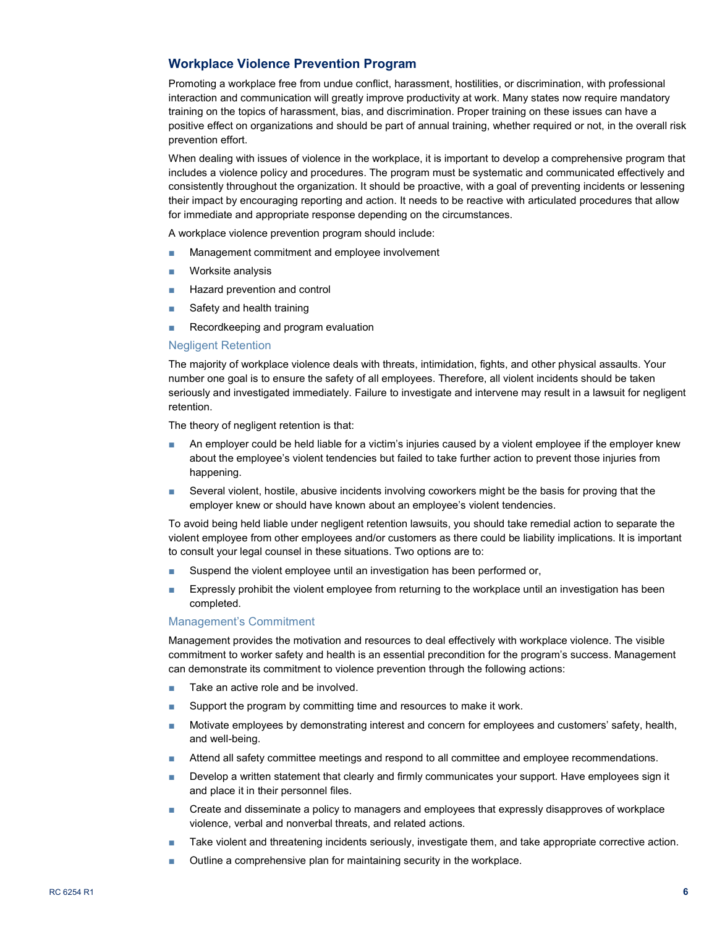### Workplace Violence Prevention Program

Promoting a workplace free from undue conflict, harassment, hostilities, or discrimination, with professional interaction and communication will greatly improve productivity at work. Many states now require mandatory training on the topics of harassment, bias, and discrimination. Proper training on these issues can have a positive effect on organizations and should be part of annual training, whether required or not, in the overall risk prevention effort.

When dealing with issues of violence in the workplace, it is important to develop a comprehensive program that includes a violence policy and procedures. The program must be systematic and communicated effectively and consistently throughout the organization. It should be proactive, with a goal of preventing incidents or lessening their impact by encouraging reporting and action. It needs to be reactive with articulated procedures that allow for immediate and appropriate response depending on the circumstances.

A workplace violence prevention program should include:

- Management commitment and employee involvement
- Worksite analysis
- Hazard prevention and control
- Safety and health training
- Recordkeeping and program evaluation

#### Negligent Retention

The majority of workplace violence deals with threats, intimidation, fights, and other physical assaults. Your number one goal is to ensure the safety of all employees. Therefore, all violent incidents should be taken seriously and investigated immediately. Failure to investigate and intervene may result in a lawsuit for negligent retention.

The theory of negligent retention is that:

- An employer could be held liable for a victim's injuries caused by a violent employee if the employer knew about the employee's violent tendencies but failed to take further action to prevent those injuries from happening.
- Several violent, hostile, abusive incidents involving coworkers might be the basis for proving that the employer knew or should have known about an employee's violent tendencies.

To avoid being held liable under negligent retention lawsuits, you should take remedial action to separate the violent employee from other employees and/or customers as there could be liability implications. It is important to consult your legal counsel in these situations. Two options are to:

- Suspend the violent employee until an investigation has been performed or,
- Expressly prohibit the violent employee from returning to the workplace until an investigation has been completed.

#### Management's Commitment

Management provides the motivation and resources to deal effectively with workplace violence. The visible commitment to worker safety and health is an essential precondition for the program's success. Management can demonstrate its commitment to violence prevention through the following actions:

- Take an active role and be involved.
- Support the program by committing time and resources to make it work.
- Motivate employees by demonstrating interest and concern for employees and customers' safety, health, and well-being.
- Attend all safety committee meetings and respond to all committee and employee recommendations.
- Develop a written statement that clearly and firmly communicates your support. Have employees sign it and place it in their personnel files.
- Create and disseminate a policy to managers and employees that expressly disapproves of workplace violence, verbal and nonverbal threats, and related actions.
- Take violent and threatening incidents seriously, investigate them, and take appropriate corrective action.
- Outline a comprehensive plan for maintaining security in the workplace.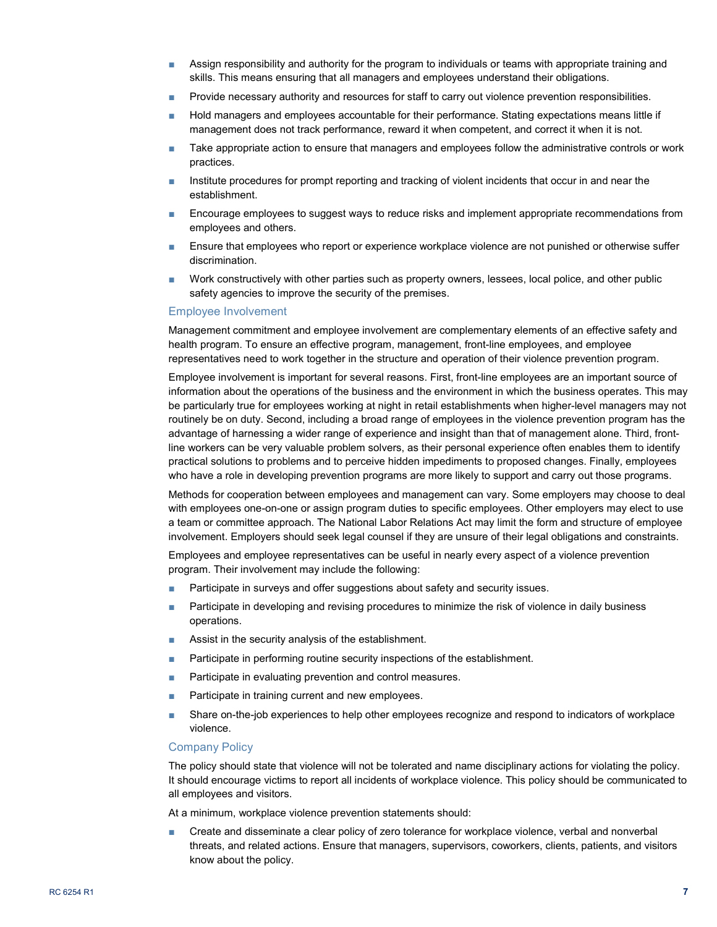- Assign responsibility and authority for the program to individuals or teams with appropriate training and skills. This means ensuring that all managers and employees understand their obligations.
- Provide necessary authority and resources for staff to carry out violence prevention responsibilities.
- Hold managers and employees accountable for their performance. Stating expectations means little if management does not track performance, reward it when competent, and correct it when it is not.
- Take appropriate action to ensure that managers and employees follow the administrative controls or work practices.
- Institute procedures for prompt reporting and tracking of violent incidents that occur in and near the establishment.
- Encourage employees to suggest ways to reduce risks and implement appropriate recommendations from employees and others.
- Ensure that employees who report or experience workplace violence are not punished or otherwise suffer discrimination.
- Work constructively with other parties such as property owners, lessees, local police, and other public safety agencies to improve the security of the premises.

#### Employee Involvement

Management commitment and employee involvement are complementary elements of an effective safety and health program. To ensure an effective program, management, front-line employees, and employee representatives need to work together in the structure and operation of their violence prevention program.

Employee involvement is important for several reasons. First, front-line employees are an important source of information about the operations of the business and the environment in which the business operates. This may be particularly true for employees working at night in retail establishments when higher-level managers may not routinely be on duty. Second, including a broad range of employees in the violence prevention program has the advantage of harnessing a wider range of experience and insight than that of management alone. Third, frontline workers can be very valuable problem solvers, as their personal experience often enables them to identify practical solutions to problems and to perceive hidden impediments to proposed changes. Finally, employees who have a role in developing prevention programs are more likely to support and carry out those programs.

Methods for cooperation between employees and management can vary. Some employers may choose to deal with employees one-on-one or assign program duties to specific employees. Other employers may elect to use a team or committee approach. The National Labor Relations Act may limit the form and structure of employee involvement. Employers should seek legal counsel if they are unsure of their legal obligations and constraints.

Employees and employee representatives can be useful in nearly every aspect of a violence prevention program. Their involvement may include the following:

- Participate in surveys and offer suggestions about safety and security issues.
- Participate in developing and revising procedures to minimize the risk of violence in daily business operations.
- Assist in the security analysis of the establishment.
- Participate in performing routine security inspections of the establishment.
- Participate in evaluating prevention and control measures.
- Participate in training current and new employees.
- Share on-the-job experiences to help other employees recognize and respond to indicators of workplace violence.

#### Company Policy

The policy should state that violence will not be tolerated and name disciplinary actions for violating the policy. It should encourage victims to report all incidents of workplace violence. This policy should be communicated to all employees and visitors.

At a minimum, workplace violence prevention statements should:

■ Create and disseminate a clear policy of zero tolerance for workplace violence, verbal and nonverbal threats, and related actions. Ensure that managers, supervisors, coworkers, clients, patients, and visitors know about the policy.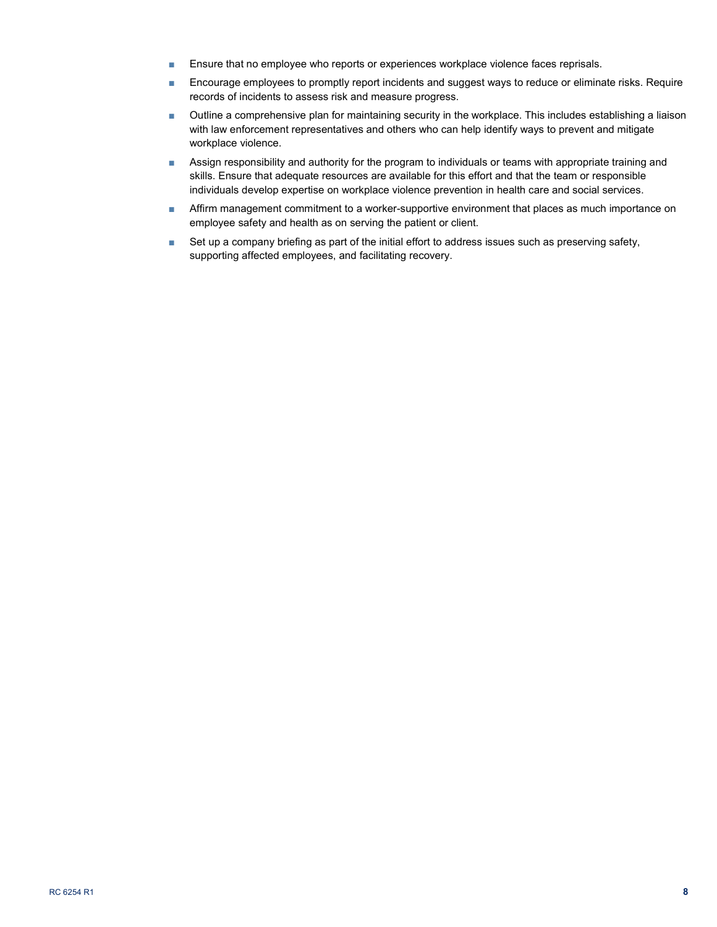- Ensure that no employee who reports or experiences workplace violence faces reprisals.
- Encourage employees to promptly report incidents and suggest ways to reduce or eliminate risks. Require records of incidents to assess risk and measure progress.
- Outline a comprehensive plan for maintaining security in the workplace. This includes establishing a liaison with law enforcement representatives and others who can help identify ways to prevent and mitigate workplace violence.
- Assign responsibility and authority for the program to individuals or teams with appropriate training and skills. Ensure that adequate resources are available for this effort and that the team or responsible individuals develop expertise on workplace violence prevention in health care and social services.
- Affirm management commitment to a worker-supportive environment that places as much importance on employee safety and health as on serving the patient or client.
- Set up a company briefing as part of the initial effort to address issues such as preserving safety, supporting affected employees, and facilitating recovery.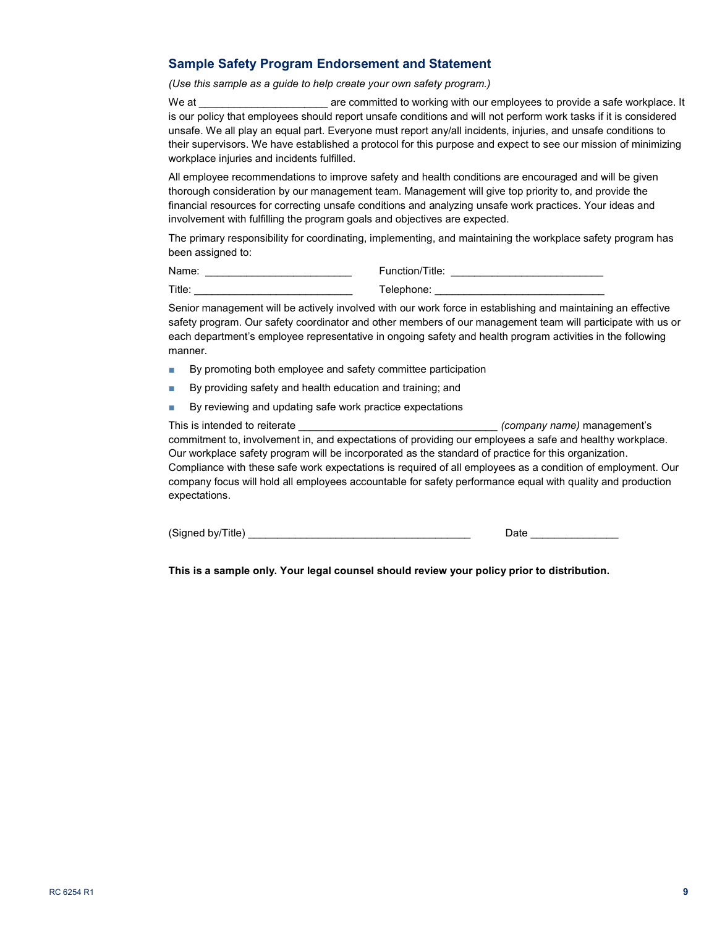### Sample Safety Program Endorsement and Statement

(Use this sample as a guide to help create your own safety program.)

We at the same state of a safe working with our employees to provide a safe workplace. It is our policy that employees should report unsafe conditions and will not perform work tasks if it is considered unsafe. We all play an equal part. Everyone must report any/all incidents, injuries, and unsafe conditions to their supervisors. We have established a protocol for this purpose and expect to see our mission of minimizing workplace injuries and incidents fulfilled.

All employee recommendations to improve safety and health conditions are encouraged and will be given thorough consideration by our management team. Management will give top priority to, and provide the financial resources for correcting unsafe conditions and analyzing unsafe work practices. Your ideas and involvement with fulfilling the program goals and objectives are expected.

The primary responsibility for coordinating, implementing, and maintaining the workplace safety program has been assigned to:

|    | $-110$<br>iue. |
|----|----------------|
| ≏ו | ≏ו             |
| .  | ---            |

Senior management will be actively involved with our work force in establishing and maintaining an effective safety program. Our safety coordinator and other members of our management team will participate with us or each department's employee representative in ongoing safety and health program activities in the following manner.

- By promoting both employee and safety committee participation
- By providing safety and health education and training; and
- By reviewing and updating safe work practice expectations

This is intended to reiterate \_\_\_\_\_\_\_\_\_\_\_\_\_\_\_\_\_\_\_\_\_\_\_\_\_\_\_\_\_\_\_\_\_\_ (company name) management's commitment to, involvement in, and expectations of providing our employees a safe and healthy workplace. Our workplace safety program will be incorporated as the standard of practice for this organization. Compliance with these safe work expectations is required of all employees as a condition of employment. Our company focus will hold all employees accountable for safety performance equal with quality and production expectations.

(Signed by/Title) example and the set of the set of the Date  $\Box$ 

This is a sample only. Your legal counsel should review your policy prior to distribution.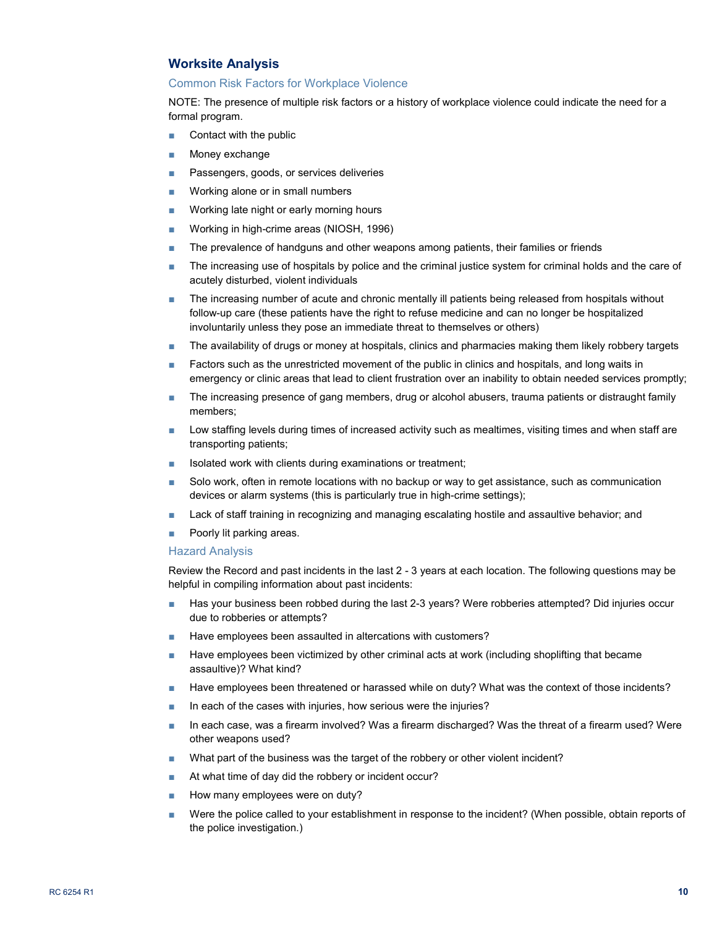### Worksite Analysis

### Common Risk Factors for Workplace Violence

NOTE: The presence of multiple risk factors or a history of workplace violence could indicate the need for a formal program.

- Contact with the public
- Money exchange
- Passengers, goods, or services deliveries
- Working alone or in small numbers
- Working late night or early morning hours
- Working in high-crime areas (NIOSH, 1996)
- The prevalence of handguns and other weapons among patients, their families or friends
- The increasing use of hospitals by police and the criminal justice system for criminal holds and the care of acutely disturbed, violent individuals
- The increasing number of acute and chronic mentally ill patients being released from hospitals without follow-up care (these patients have the right to refuse medicine and can no longer be hospitalized involuntarily unless they pose an immediate threat to themselves or others)
- The availability of drugs or money at hospitals, clinics and pharmacies making them likely robbery targets
- Factors such as the unrestricted movement of the public in clinics and hospitals, and long waits in emergency or clinic areas that lead to client frustration over an inability to obtain needed services promptly;
- The increasing presence of gang members, drug or alcohol abusers, trauma patients or distraught family members;
- Low staffing levels during times of increased activity such as mealtimes, visiting times and when staff are transporting patients;
- Isolated work with clients during examinations or treatment;
- Solo work, often in remote locations with no backup or way to get assistance, such as communication devices or alarm systems (this is particularly true in high-crime settings);
- Lack of staff training in recognizing and managing escalating hostile and assaultive behavior; and
- Poorly lit parking areas.

#### Hazard Analysis

Review the Record and past incidents in the last 2 - 3 years at each location. The following questions may be helpful in compiling information about past incidents:

- Has your business been robbed during the last 2-3 years? Were robberies attempted? Did injuries occur due to robberies or attempts?
- Have employees been assaulted in altercations with customers?
- Have employees been victimized by other criminal acts at work (including shoplifting that became assaultive)? What kind?
- Have employees been threatened or harassed while on duty? What was the context of those incidents?
- In each of the cases with injuries, how serious were the injuries?
- In each case, was a firearm involved? Was a firearm discharged? Was the threat of a firearm used? Were other weapons used?
- What part of the business was the target of the robbery or other violent incident?
- At what time of day did the robbery or incident occur?
- How many employees were on duty?
- Were the police called to your establishment in response to the incident? (When possible, obtain reports of the police investigation.)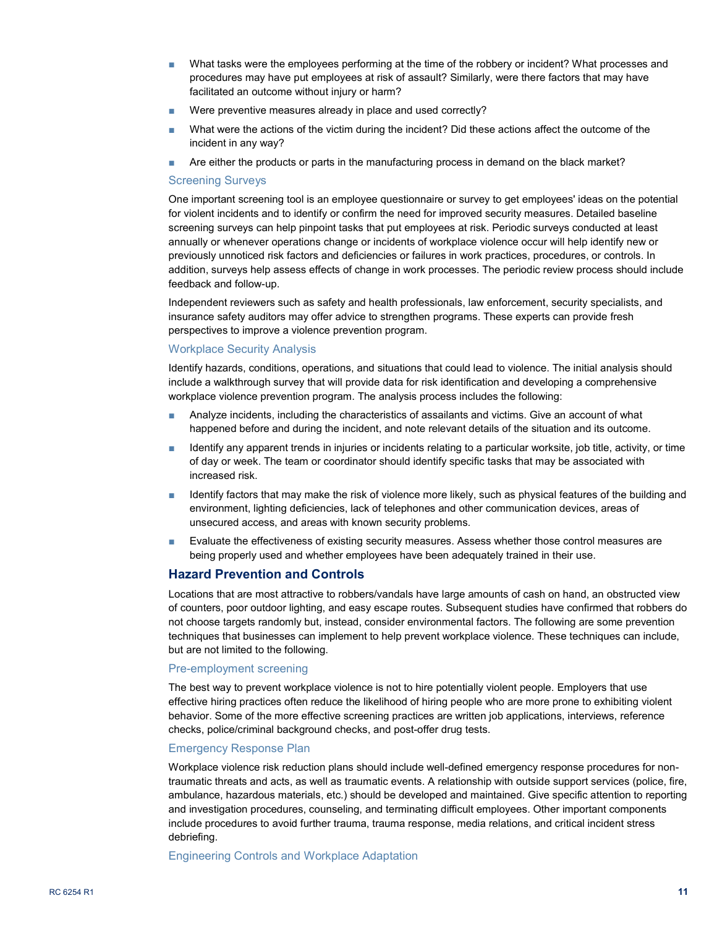- What tasks were the employees performing at the time of the robbery or incident? What processes and procedures may have put employees at risk of assault? Similarly, were there factors that may have facilitated an outcome without injury or harm?
- Were preventive measures already in place and used correctly?
- What were the actions of the victim during the incident? Did these actions affect the outcome of the incident in any way?
- Are either the products or parts in the manufacturing process in demand on the black market?

#### Screening Surveys

One important screening tool is an employee questionnaire or survey to get employees' ideas on the potential for violent incidents and to identify or confirm the need for improved security measures. Detailed baseline screening surveys can help pinpoint tasks that put employees at risk. Periodic surveys conducted at least annually or whenever operations change or incidents of workplace violence occur will help identify new or previously unnoticed risk factors and deficiencies or failures in work practices, procedures, or controls. In addition, surveys help assess effects of change in work processes. The periodic review process should include feedback and follow-up.

Independent reviewers such as safety and health professionals, law enforcement, security specialists, and insurance safety auditors may offer advice to strengthen programs. These experts can provide fresh perspectives to improve a violence prevention program.

### Workplace Security Analysis

Identify hazards, conditions, operations, and situations that could lead to violence. The initial analysis should include a walkthrough survey that will provide data for risk identification and developing a comprehensive workplace violence prevention program. The analysis process includes the following:

- Analyze incidents, including the characteristics of assailants and victims. Give an account of what happened before and during the incident, and note relevant details of the situation and its outcome.
- Identify any apparent trends in injuries or incidents relating to a particular worksite, job title, activity, or time of day or week. The team or coordinator should identify specific tasks that may be associated with increased risk.
- Identify factors that may make the risk of violence more likely, such as physical features of the building and environment, lighting deficiencies, lack of telephones and other communication devices, areas of unsecured access, and areas with known security problems.
- Evaluate the effectiveness of existing security measures. Assess whether those control measures are being properly used and whether employees have been adequately trained in their use.

### Hazard Prevention and Controls

Locations that are most attractive to robbers/vandals have large amounts of cash on hand, an obstructed view of counters, poor outdoor lighting, and easy escape routes. Subsequent studies have confirmed that robbers do not choose targets randomly but, instead, consider environmental factors. The following are some prevention techniques that businesses can implement to help prevent workplace violence. These techniques can include, but are not limited to the following.

#### Pre-employment screening

The best way to prevent workplace violence is not to hire potentially violent people. Employers that use effective hiring practices often reduce the likelihood of hiring people who are more prone to exhibiting violent behavior. Some of the more effective screening practices are written job applications, interviews, reference checks, police/criminal background checks, and post-offer drug tests.

#### Emergency Response Plan

Workplace violence risk reduction plans should include well-defined emergency response procedures for nontraumatic threats and acts, as well as traumatic events. A relationship with outside support services (police, fire, ambulance, hazardous materials, etc.) should be developed and maintained. Give specific attention to reporting and investigation procedures, counseling, and terminating difficult employees. Other important components include procedures to avoid further trauma, trauma response, media relations, and critical incident stress debriefing.

Engineering Controls and Workplace Adaptation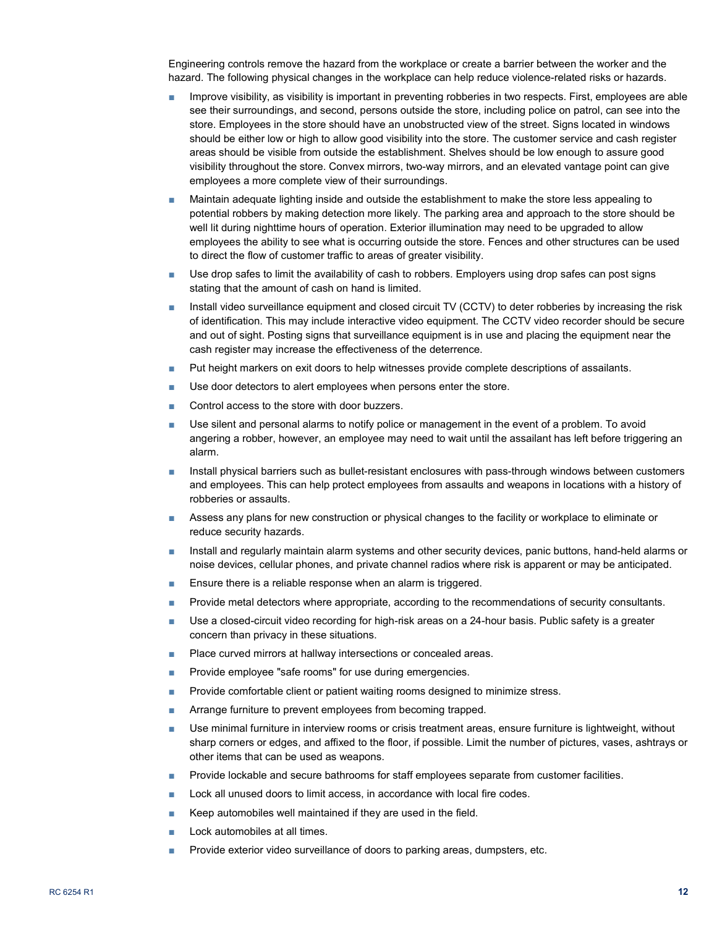Engineering controls remove the hazard from the workplace or create a barrier between the worker and the hazard. The following physical changes in the workplace can help reduce violence-related risks or hazards.

- Improve visibility, as visibility is important in preventing robberies in two respects. First, employees are able see their surroundings, and second, persons outside the store, including police on patrol, can see into the store. Employees in the store should have an unobstructed view of the street. Signs located in windows should be either low or high to allow good visibility into the store. The customer service and cash register areas should be visible from outside the establishment. Shelves should be low enough to assure good visibility throughout the store. Convex mirrors, two-way mirrors, and an elevated vantage point can give employees a more complete view of their surroundings.
- Maintain adequate lighting inside and outside the establishment to make the store less appealing to potential robbers by making detection more likely. The parking area and approach to the store should be well lit during nighttime hours of operation. Exterior illumination may need to be upgraded to allow employees the ability to see what is occurring outside the store. Fences and other structures can be used to direct the flow of customer traffic to areas of greater visibility.
- Use drop safes to limit the availability of cash to robbers. Employers using drop safes can post signs stating that the amount of cash on hand is limited.
- Install video surveillance equipment and closed circuit TV (CCTV) to deter robberies by increasing the risk of identification. This may include interactive video equipment. The CCTV video recorder should be secure and out of sight. Posting signs that surveillance equipment is in use and placing the equipment near the cash register may increase the effectiveness of the deterrence.
- Put height markers on exit doors to help witnesses provide complete descriptions of assailants.
- Use door detectors to alert employees when persons enter the store.
- Control access to the store with door buzzers.
- Use silent and personal alarms to notify police or management in the event of a problem. To avoid angering a robber, however, an employee may need to wait until the assailant has left before triggering an alarm.
- Install physical barriers such as bullet-resistant enclosures with pass-through windows between customers and employees. This can help protect employees from assaults and weapons in locations with a history of robberies or assaults.
- Assess any plans for new construction or physical changes to the facility or workplace to eliminate or reduce security hazards.
- Install and regularly maintain alarm systems and other security devices, panic buttons, hand-held alarms or noise devices, cellular phones, and private channel radios where risk is apparent or may be anticipated.
- Ensure there is a reliable response when an alarm is triggered.
- Provide metal detectors where appropriate, according to the recommendations of security consultants.
- Use a closed-circuit video recording for high-risk areas on a 24-hour basis. Public safety is a greater concern than privacy in these situations.
- Place curved mirrors at hallway intersections or concealed areas.
- Provide employee "safe rooms" for use during emergencies.
- Provide comfortable client or patient waiting rooms designed to minimize stress.
- Arrange furniture to prevent employees from becoming trapped.
- Use minimal furniture in interview rooms or crisis treatment areas, ensure furniture is lightweight, without sharp corners or edges, and affixed to the floor, if possible. Limit the number of pictures, vases, ashtrays or other items that can be used as weapons.
- Provide lockable and secure bathrooms for staff employees separate from customer facilities.
- Lock all unused doors to limit access, in accordance with local fire codes.
- Keep automobiles well maintained if they are used in the field.
- Lock automobiles at all times.
- Provide exterior video surveillance of doors to parking areas, dumpsters, etc.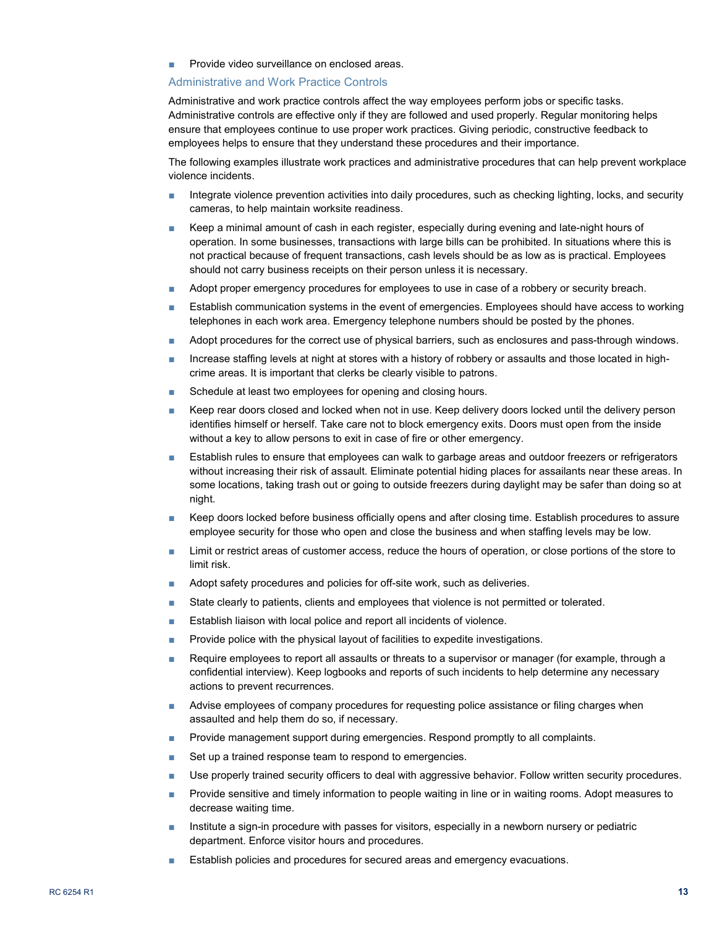Provide video surveillance on enclosed areas.

#### Administrative and Work Practice Controls

Administrative and work practice controls affect the way employees perform jobs or specific tasks. Administrative controls are effective only if they are followed and used properly. Regular monitoring helps ensure that employees continue to use proper work practices. Giving periodic, constructive feedback to employees helps to ensure that they understand these procedures and their importance.

The following examples illustrate work practices and administrative procedures that can help prevent workplace violence incidents.

- Integrate violence prevention activities into daily procedures, such as checking lighting, locks, and security cameras, to help maintain worksite readiness.
- Keep a minimal amount of cash in each register, especially during evening and late-night hours of operation. In some businesses, transactions with large bills can be prohibited. In situations where this is not practical because of frequent transactions, cash levels should be as low as is practical. Employees should not carry business receipts on their person unless it is necessary.
- Adopt proper emergency procedures for employees to use in case of a robbery or security breach.
- Establish communication systems in the event of emergencies. Employees should have access to working telephones in each work area. Emergency telephone numbers should be posted by the phones.
- Adopt procedures for the correct use of physical barriers, such as enclosures and pass-through windows.
- Increase staffing levels at night at stores with a history of robbery or assaults and those located in highcrime areas. It is important that clerks be clearly visible to patrons.
- Schedule at least two employees for opening and closing hours.
- Keep rear doors closed and locked when not in use. Keep delivery doors locked until the delivery person identifies himself or herself. Take care not to block emergency exits. Doors must open from the inside without a key to allow persons to exit in case of fire or other emergency.
- Establish rules to ensure that employees can walk to garbage areas and outdoor freezers or refrigerators without increasing their risk of assault. Eliminate potential hiding places for assailants near these areas. In some locations, taking trash out or going to outside freezers during daylight may be safer than doing so at night.
- Keep doors locked before business officially opens and after closing time. Establish procedures to assure employee security for those who open and close the business and when staffing levels may be low.
- Limit or restrict areas of customer access, reduce the hours of operation, or close portions of the store to limit risk.
- Adopt safety procedures and policies for off-site work, such as deliveries.
- State clearly to patients, clients and employees that violence is not permitted or tolerated.
- Establish liaison with local police and report all incidents of violence.
- Provide police with the physical layout of facilities to expedite investigations.
- Require employees to report all assaults or threats to a supervisor or manager (for example, through a confidential interview). Keep logbooks and reports of such incidents to help determine any necessary actions to prevent recurrences.
- Advise employees of company procedures for requesting police assistance or filing charges when assaulted and help them do so, if necessary.
- Provide management support during emergencies. Respond promptly to all complaints.
- Set up a trained response team to respond to emergencies.
- Use properly trained security officers to deal with aggressive behavior. Follow written security procedures.
- Provide sensitive and timely information to people waiting in line or in waiting rooms. Adopt measures to decrease waiting time.
- Institute a sign-in procedure with passes for visitors, especially in a newborn nursery or pediatric department. Enforce visitor hours and procedures.
- Establish policies and procedures for secured areas and emergency evacuations.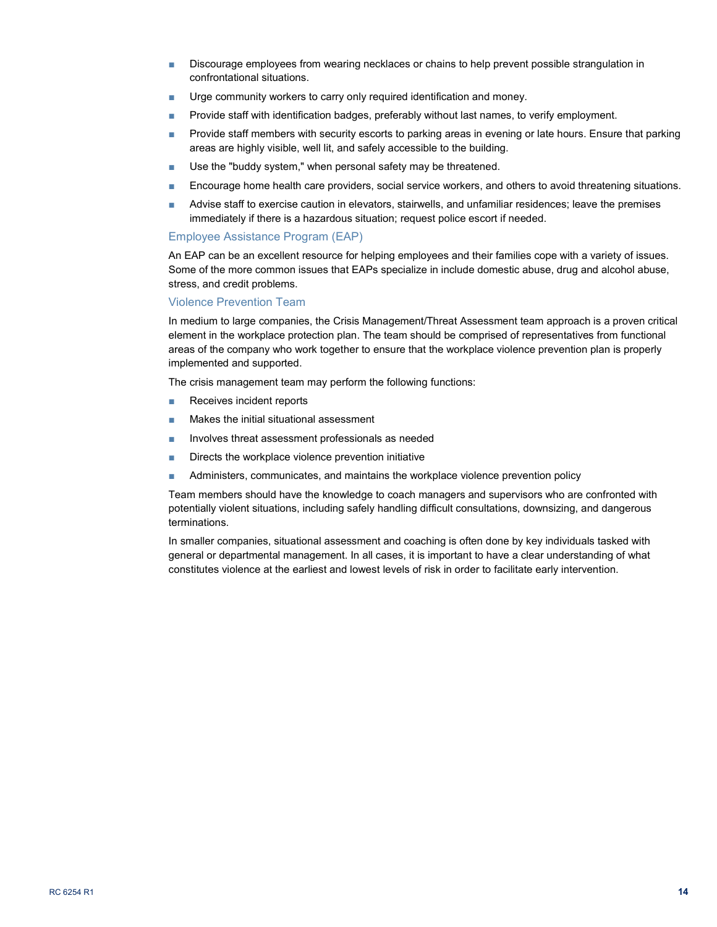- Discourage employees from wearing necklaces or chains to help prevent possible strangulation in confrontational situations.
- Urge community workers to carry only required identification and money.
- Provide staff with identification badges, preferably without last names, to verify employment.
- Provide staff members with security escorts to parking areas in evening or late hours. Ensure that parking areas are highly visible, well lit, and safely accessible to the building.
- Use the "buddy system," when personal safety may be threatened.
- Encourage home health care providers, social service workers, and others to avoid threatening situations.
- Advise staff to exercise caution in elevators, stairwells, and unfamiliar residences; leave the premises immediately if there is a hazardous situation; request police escort if needed.

#### Employee Assistance Program (EAP)

An EAP can be an excellent resource for helping employees and their families cope with a variety of issues. Some of the more common issues that EAPs specialize in include domestic abuse, drug and alcohol abuse, stress, and credit problems.

#### Violence Prevention Team

In medium to large companies, the Crisis Management/Threat Assessment team approach is a proven critical element in the workplace protection plan. The team should be comprised of representatives from functional areas of the company who work together to ensure that the workplace violence prevention plan is properly implemented and supported.

The crisis management team may perform the following functions:

- Receives incident reports
- Makes the initial situational assessment
- Involves threat assessment professionals as needed
- Directs the workplace violence prevention initiative
- Administers, communicates, and maintains the workplace violence prevention policy

Team members should have the knowledge to coach managers and supervisors who are confronted with potentially violent situations, including safely handling difficult consultations, downsizing, and dangerous terminations.

In smaller companies, situational assessment and coaching is often done by key individuals tasked with general or departmental management. In all cases, it is important to have a clear understanding of what constitutes violence at the earliest and lowest levels of risk in order to facilitate early intervention.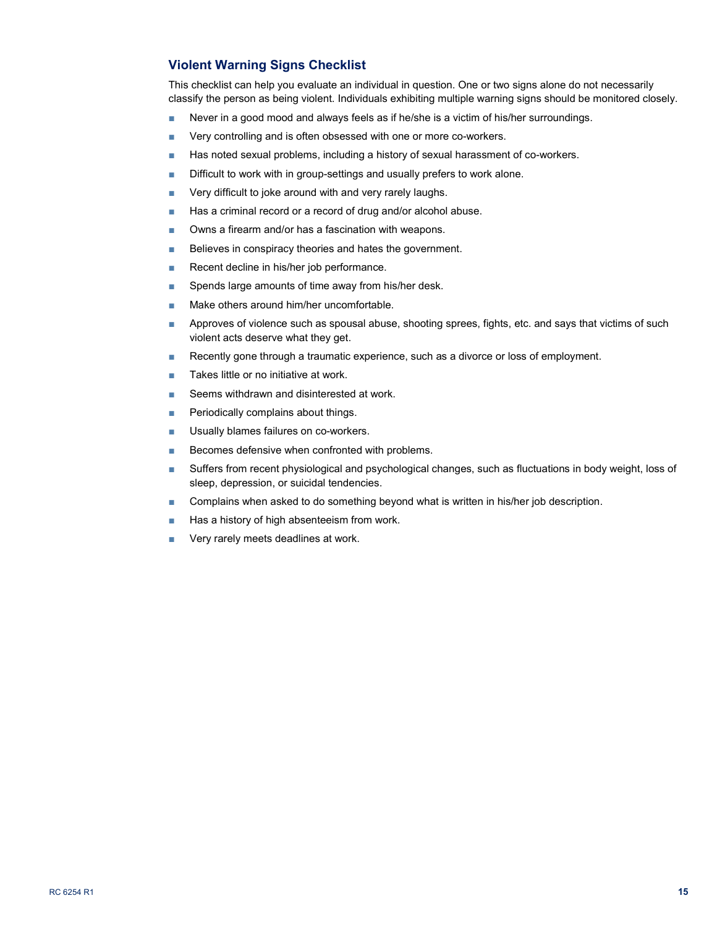### Violent Warning Signs Checklist

This checklist can help you evaluate an individual in question. One or two signs alone do not necessarily classify the person as being violent. Individuals exhibiting multiple warning signs should be monitored closely.

- Never in a good mood and always feels as if he/she is a victim of his/her surroundings.
- Very controlling and is often obsessed with one or more co-workers.
- Has noted sexual problems, including a history of sexual harassment of co-workers.
- Difficult to work with in group-settings and usually prefers to work alone.
- Very difficult to joke around with and very rarely laughs.
- Has a criminal record or a record of drug and/or alcohol abuse.
- Owns a firearm and/or has a fascination with weapons.
- Believes in conspiracy theories and hates the government.
- Recent decline in his/her job performance.
- Spends large amounts of time away from his/her desk.
- Make others around him/her uncomfortable.
- Approves of violence such as spousal abuse, shooting sprees, fights, etc. and says that victims of such violent acts deserve what they get.
- Recently gone through a traumatic experience, such as a divorce or loss of employment.
- Takes little or no initiative at work.
- Seems withdrawn and disinterested at work.
- Periodically complains about things.
- Usually blames failures on co-workers.
- Becomes defensive when confronted with problems.
- Suffers from recent physiological and psychological changes, such as fluctuations in body weight, loss of sleep, depression, or suicidal tendencies.
- Complains when asked to do something beyond what is written in his/her job description.
- Has a history of high absenteeism from work.
- Very rarely meets deadlines at work.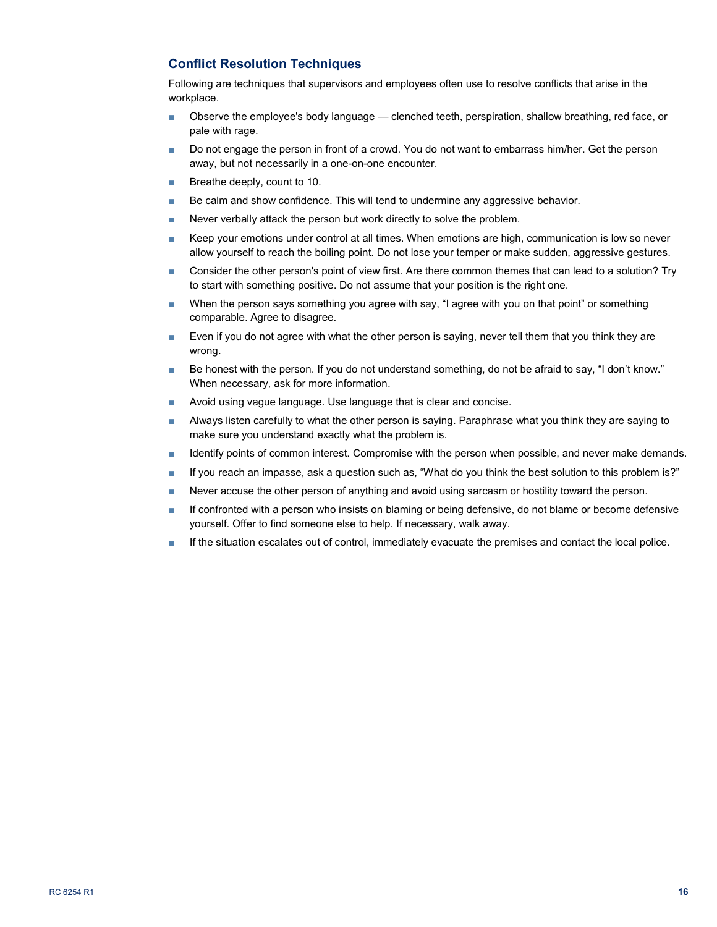### Conflict Resolution Techniques

Following are techniques that supervisors and employees often use to resolve conflicts that arise in the workplace.

- Observe the employee's body language clenched teeth, perspiration, shallow breathing, red face, or pale with rage.
- Do not engage the person in front of a crowd. You do not want to embarrass him/her. Get the person away, but not necessarily in a one-on-one encounter.
- Breathe deeply, count to 10.
- Be calm and show confidence. This will tend to undermine any aggressive behavior.
- Never verbally attack the person but work directly to solve the problem.
- Keep your emotions under control at all times. When emotions are high, communication is low so never allow yourself to reach the boiling point. Do not lose your temper or make sudden, aggressive gestures.
- Consider the other person's point of view first. Are there common themes that can lead to a solution? Try to start with something positive. Do not assume that your position is the right one.
- When the person says something you agree with say, "I agree with you on that point" or something comparable. Agree to disagree.
- Even if you do not agree with what the other person is saying, never tell them that you think they are wrong.
- Be honest with the person. If you do not understand something, do not be afraid to say, "I don't know." When necessary, ask for more information.
- Avoid using vague language. Use language that is clear and concise.
- Always listen carefully to what the other person is saying. Paraphrase what you think they are saying to make sure you understand exactly what the problem is.
- Identify points of common interest. Compromise with the person when possible, and never make demands.
- If you reach an impasse, ask a question such as, "What do you think the best solution to this problem is?"
- Never accuse the other person of anything and avoid using sarcasm or hostility toward the person.
- If confronted with a person who insists on blaming or being defensive, do not blame or become defensive yourself. Offer to find someone else to help. If necessary, walk away.
- If the situation escalates out of control, immediately evacuate the premises and contact the local police.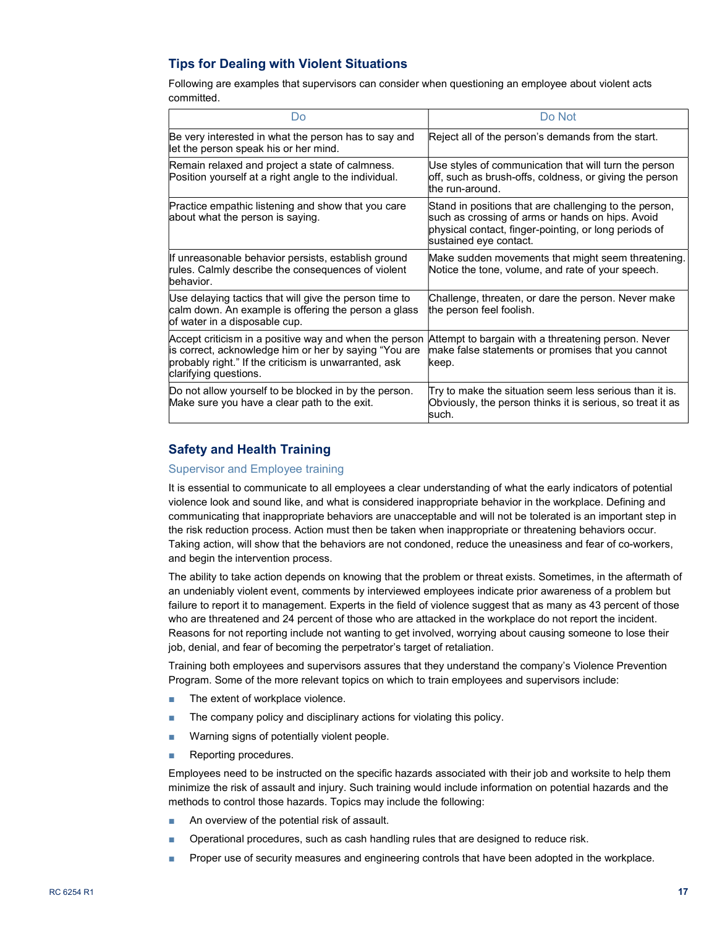### Tips for Dealing with Violent Situations

Following are examples that supervisors can consider when questioning an employee about violent acts committed.

| Do                                                                                                                                                                                                | Do Not                                                                                                                                                                                        |
|---------------------------------------------------------------------------------------------------------------------------------------------------------------------------------------------------|-----------------------------------------------------------------------------------------------------------------------------------------------------------------------------------------------|
| Be very interested in what the person has to say and<br>let the person speak his or her mind.                                                                                                     | Reject all of the person's demands from the start.                                                                                                                                            |
| Remain relaxed and project a state of calmness.<br>Position yourself at a right angle to the individual.                                                                                          | Use styles of communication that will turn the person<br>off, such as brush-offs, coldness, or giving the person<br>the run-around.                                                           |
| Practice empathic listening and show that you care<br>about what the person is saying.                                                                                                            | Stand in positions that are challenging to the person,<br>such as crossing of arms or hands on hips. Avoid<br>physical contact, finger-pointing, or long periods of<br>sustained eye contact. |
| If unreasonable behavior persists, establish ground<br>rules. Calmly describe the consequences of violent<br>behavior.                                                                            | Make sudden movements that might seem threatening.<br>Notice the tone, volume, and rate of your speech.                                                                                       |
| Use delaying tactics that will give the person time to<br>calm down. An example is offering the person a glass<br>of water in a disposable cup.                                                   | Challenge, threaten, or dare the person. Never make<br>the person feel foolish.                                                                                                               |
| Accept criticism in a positive way and when the person<br>is correct, acknowledge him or her by saying "You are<br>probably right." If the criticism is unwarranted, ask<br>clarifying questions. | Attempt to bargain with a threatening person. Never<br>make false statements or promises that you cannot<br>keep.                                                                             |
| Do not allow yourself to be blocked in by the person.<br>Make sure you have a clear path to the exit.                                                                                             | Try to make the situation seem less serious than it is.<br>Obviously, the person thinks it is serious, so treat it as<br>such.                                                                |

### Safety and Health Training

### Supervisor and Employee training

It is essential to communicate to all employees a clear understanding of what the early indicators of potential violence look and sound like, and what is considered inappropriate behavior in the workplace. Defining and communicating that inappropriate behaviors are unacceptable and will not be tolerated is an important step in the risk reduction process. Action must then be taken when inappropriate or threatening behaviors occur. Taking action, will show that the behaviors are not condoned, reduce the uneasiness and fear of co-workers, and begin the intervention process.

The ability to take action depends on knowing that the problem or threat exists. Sometimes, in the aftermath of an undeniably violent event, comments by interviewed employees indicate prior awareness of a problem but failure to report it to management. Experts in the field of violence suggest that as many as 43 percent of those who are threatened and 24 percent of those who are attacked in the workplace do not report the incident. Reasons for not reporting include not wanting to get involved, worrying about causing someone to lose their job, denial, and fear of becoming the perpetrator's target of retaliation.

Training both employees and supervisors assures that they understand the company's Violence Prevention Program. Some of the more relevant topics on which to train employees and supervisors include:

- The extent of workplace violence.
- The company policy and disciplinary actions for violating this policy.
- Warning signs of potentially violent people.
- Reporting procedures.

Employees need to be instructed on the specific hazards associated with their job and worksite to help them minimize the risk of assault and injury. Such training would include information on potential hazards and the methods to control those hazards. Topics may include the following:

- An overview of the potential risk of assault.
- Operational procedures, such as cash handling rules that are designed to reduce risk.
- Proper use of security measures and engineering controls that have been adopted in the workplace.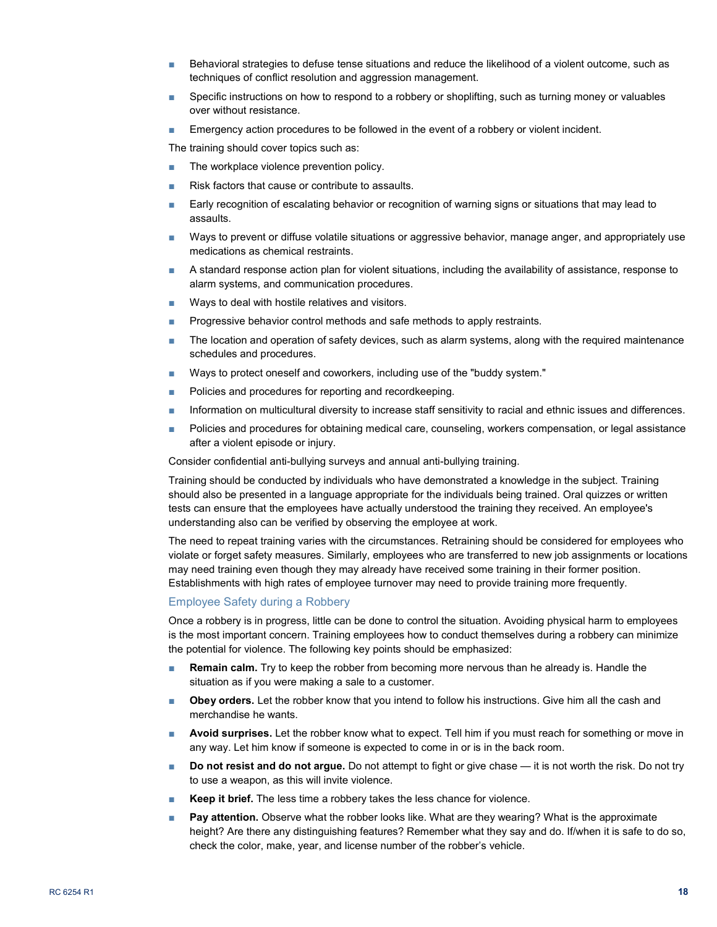- Behavioral strategies to defuse tense situations and reduce the likelihood of a violent outcome, such as techniques of conflict resolution and aggression management.
- Specific instructions on how to respond to a robbery or shoplifting, such as turning money or valuables over without resistance.
- Emergency action procedures to be followed in the event of a robbery or violent incident.

The training should cover topics such as:

- The workplace violence prevention policy.
- Risk factors that cause or contribute to assaults.
- Early recognition of escalating behavior or recognition of warning signs or situations that may lead to assaults.
- Ways to prevent or diffuse volatile situations or aggressive behavior, manage anger, and appropriately use medications as chemical restraints.
- A standard response action plan for violent situations, including the availability of assistance, response to alarm systems, and communication procedures.
- Ways to deal with hostile relatives and visitors.
- Progressive behavior control methods and safe methods to apply restraints.
- The location and operation of safety devices, such as alarm systems, along with the required maintenance schedules and procedures.
- Ways to protect oneself and coworkers, including use of the "buddy system."
- Policies and procedures for reporting and recordkeeping.
- Information on multicultural diversity to increase staff sensitivity to racial and ethnic issues and differences.
- Policies and procedures for obtaining medical care, counseling, workers compensation, or legal assistance after a violent episode or injury.

Consider confidential anti-bullying surveys and annual anti-bullying training.

Training should be conducted by individuals who have demonstrated a knowledge in the subject. Training should also be presented in a language appropriate for the individuals being trained. Oral quizzes or written tests can ensure that the employees have actually understood the training they received. An employee's understanding also can be verified by observing the employee at work.

The need to repeat training varies with the circumstances. Retraining should be considered for employees who violate or forget safety measures. Similarly, employees who are transferred to new job assignments or locations may need training even though they may already have received some training in their former position. Establishments with high rates of employee turnover may need to provide training more frequently.

#### Employee Safety during a Robbery

Once a robbery is in progress, little can be done to control the situation. Avoiding physical harm to employees is the most important concern. Training employees how to conduct themselves during a robbery can minimize the potential for violence. The following key points should be emphasized:

- Remain calm. Try to keep the robber from becoming more nervous than he already is. Handle the situation as if you were making a sale to a customer.
- Obey orders. Let the robber know that you intend to follow his instructions. Give him all the cash and merchandise he wants.
- Avoid surprises. Let the robber know what to expect. Tell him if you must reach for something or move in any way. Let him know if someone is expected to come in or is in the back room.
- Do not resist and do not argue. Do not attempt to fight or give chase it is not worth the risk. Do not try to use a weapon, as this will invite violence.
- Keep it brief. The less time a robbery takes the less chance for violence.
- Pay attention. Observe what the robber looks like. What are they wearing? What is the approximate height? Are there any distinguishing features? Remember what they say and do. If/when it is safe to do so, check the color, make, year, and license number of the robber's vehicle.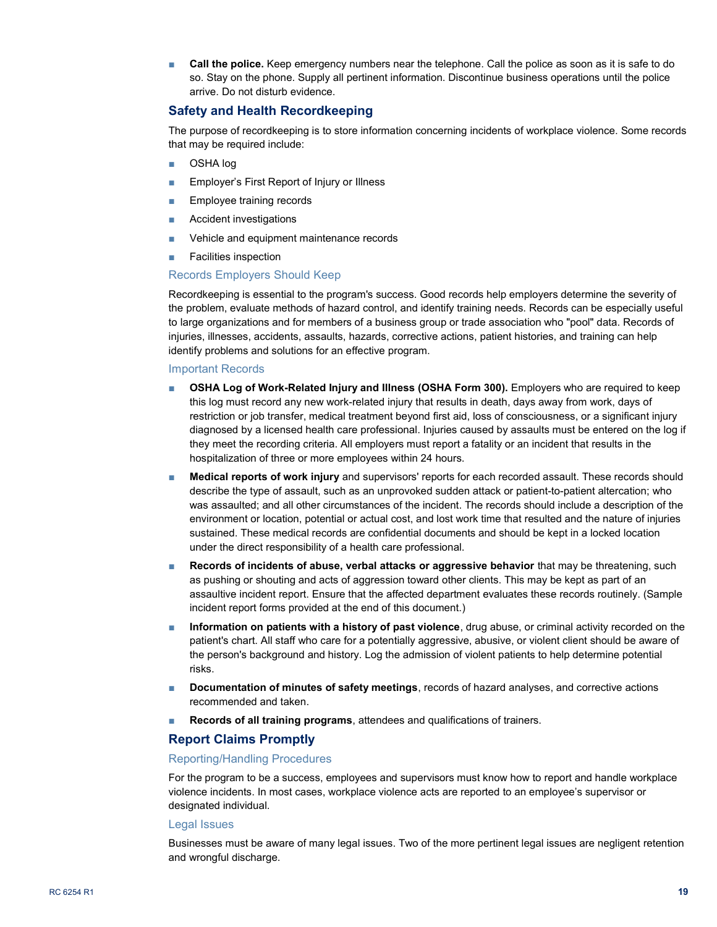■ Call the police. Keep emergency numbers near the telephone. Call the police as soon as it is safe to do so. Stay on the phone. Supply all pertinent information. Discontinue business operations until the police arrive. Do not disturb evidence.

### Safety and Health Recordkeeping

The purpose of recordkeeping is to store information concerning incidents of workplace violence. Some records that may be required include:

- OSHA log
- Employer's First Report of Injury or Illness
- Employee training records
- Accident investigations
- Vehicle and equipment maintenance records
- Facilities inspection

#### Records Employers Should Keep

Recordkeeping is essential to the program's success. Good records help employers determine the severity of the problem, evaluate methods of hazard control, and identify training needs. Records can be especially useful to large organizations and for members of a business group or trade association who "pool" data. Records of injuries, illnesses, accidents, assaults, hazards, corrective actions, patient histories, and training can help identify problems and solutions for an effective program.

### Important Records

- OSHA Log of Work-Related Injury and Illness (OSHA Form 300). Employers who are required to keep this log must record any new work-related injury that results in death, days away from work, days of restriction or job transfer, medical treatment beyond first aid, loss of consciousness, or a significant injury diagnosed by a licensed health care professional. Injuries caused by assaults must be entered on the log if they meet the recording criteria. All employers must report a fatality or an incident that results in the hospitalization of three or more employees within 24 hours.
- Medical reports of work injury and supervisors' reports for each recorded assault. These records should describe the type of assault, such as an unprovoked sudden attack or patient-to-patient altercation; who was assaulted; and all other circumstances of the incident. The records should include a description of the environment or location, potential or actual cost, and lost work time that resulted and the nature of injuries sustained. These medical records are confidential documents and should be kept in a locked location under the direct responsibility of a health care professional.
- Records of incidents of abuse, verbal attacks or aggressive behavior that may be threatening, such as pushing or shouting and acts of aggression toward other clients. This may be kept as part of an assaultive incident report. Ensure that the affected department evaluates these records routinely. (Sample incident report forms provided at the end of this document.)
- Information on patients with a history of past violence, drug abuse, or criminal activity recorded on the patient's chart. All staff who care for a potentially aggressive, abusive, or violent client should be aware of the person's background and history. Log the admission of violent patients to help determine potential risks.
- Documentation of minutes of safety meetings, records of hazard analyses, and corrective actions recommended and taken.
- Records of all training programs, attendees and qualifications of trainers.

### Report Claims Promptly

#### Reporting/Handling Procedures

For the program to be a success, employees and supervisors must know how to report and handle workplace violence incidents. In most cases, workplace violence acts are reported to an employee's supervisor or designated individual.

#### Legal Issues

Businesses must be aware of many legal issues. Two of the more pertinent legal issues are negligent retention and wrongful discharge.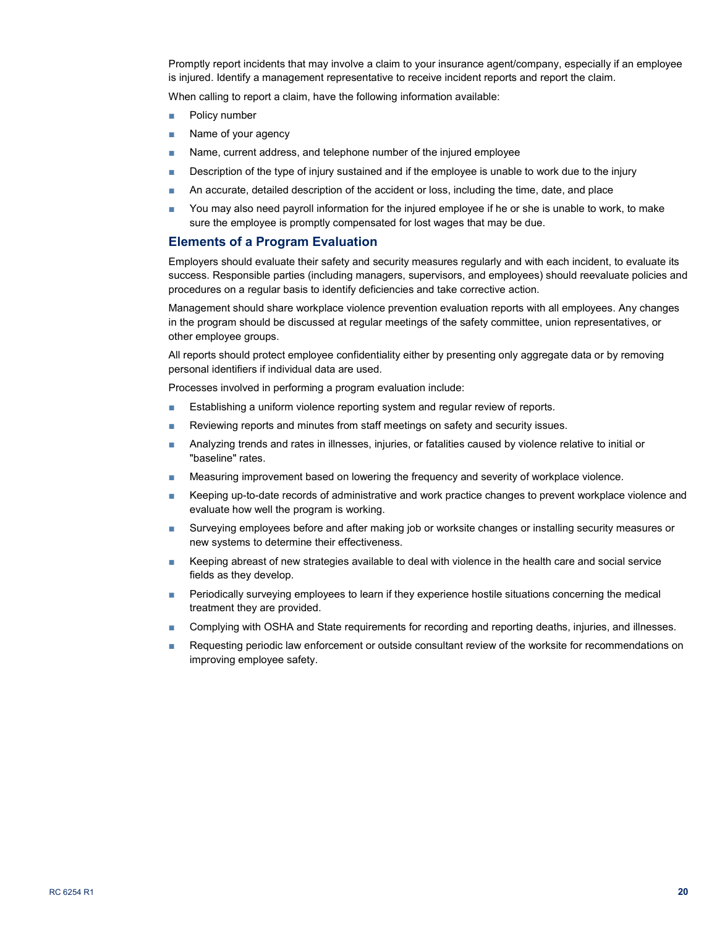Promptly report incidents that may involve a claim to your insurance agent/company, especially if an employee is injured. Identify a management representative to receive incident reports and report the claim.

When calling to report a claim, have the following information available:

- Policy number
- Name of your agency
- Name, current address, and telephone number of the injured employee
- Description of the type of injury sustained and if the employee is unable to work due to the injury
- An accurate, detailed description of the accident or loss, including the time, date, and place
- You may also need payroll information for the injured employee if he or she is unable to work, to make sure the employee is promptly compensated for lost wages that may be due.

### Elements of a Program Evaluation

Employers should evaluate their safety and security measures regularly and with each incident, to evaluate its success. Responsible parties (including managers, supervisors, and employees) should reevaluate policies and procedures on a regular basis to identify deficiencies and take corrective action.

Management should share workplace violence prevention evaluation reports with all employees. Any changes in the program should be discussed at regular meetings of the safety committee, union representatives, or other employee groups.

All reports should protect employee confidentiality either by presenting only aggregate data or by removing personal identifiers if individual data are used.

Processes involved in performing a program evaluation include:

- Establishing a uniform violence reporting system and regular review of reports.
- Reviewing reports and minutes from staff meetings on safety and security issues.
- Analyzing trends and rates in illnesses, injuries, or fatalities caused by violence relative to initial or "baseline" rates.
- Measuring improvement based on lowering the frequency and severity of workplace violence.
- Keeping up-to-date records of administrative and work practice changes to prevent workplace violence and evaluate how well the program is working.
- Surveying employees before and after making job or worksite changes or installing security measures or new systems to determine their effectiveness.
- Keeping abreast of new strategies available to deal with violence in the health care and social service fields as they develop.
- Periodically surveying employees to learn if they experience hostile situations concerning the medical treatment they are provided.
- Complying with OSHA and State requirements for recording and reporting deaths, injuries, and illnesses.
- Requesting periodic law enforcement or outside consultant review of the worksite for recommendations on improving employee safety.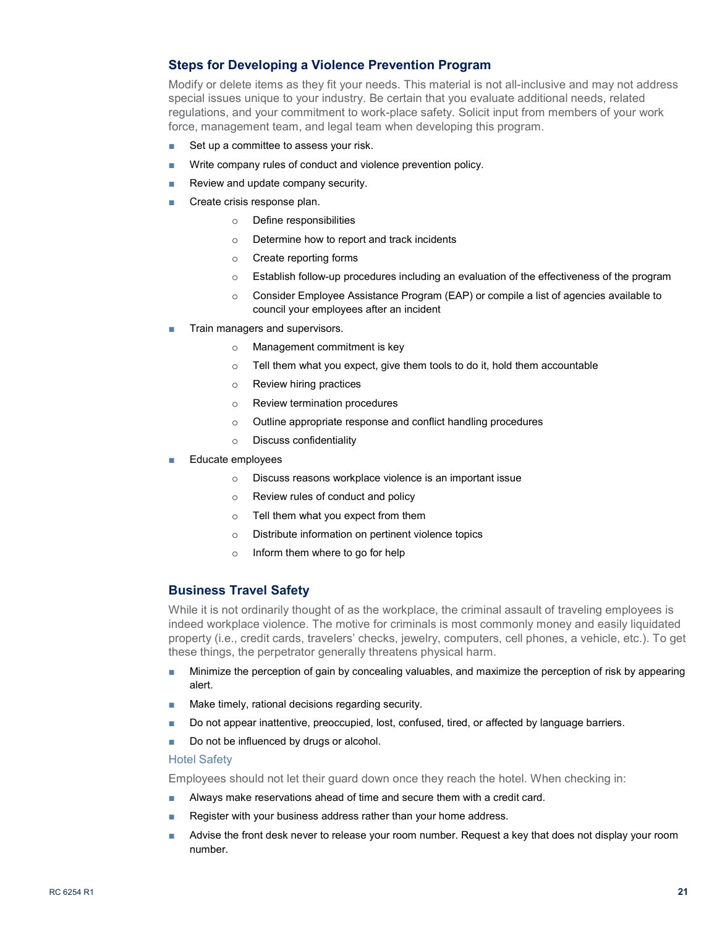### Steps for Developing a Violence Prevention Program

Modify or delete items as they fit your needs. This material is not all-inclusive and may not address special issues unique to your industry. Be certain that you evaluate additional needs, related regulations, and your commitment to work-place safety. Solicit input from members of your work force, management team, and legal team when developing this program.

- Set up a committee to assess your risk.
- Write company rules of conduct and violence prevention policy.
- Review and update company security.
- Create crisis response plan.
	- o Define responsibilities
	- o Determine how to report and track incidents
	- o Create reporting forms
	- o Establish follow-up procedures including an evaluation of the effectiveness of the program
	- o Consider Employee Assistance Program (EAP) or compile a list of agencies available to council your employees after an incident
- Train managers and supervisors.
	- o Management commitment is key
	- o Tell them what you expect, give them tools to do it, hold them accountable
	- o Review hiring practices
	- o Review termination procedures
	- o Outline appropriate response and conflict handling procedures
	- o Discuss confidentiality
- Educate employees
	- o Discuss reasons workplace violence is an important issue
	- o Review rules of conduct and policy
	- o Tell them what you expect from them
	- o Distribute information on pertinent violence topics
	- o Inform them where to go for help

### Business Travel Safety

While it is not ordinarily thought of as the workplace, the criminal assault of traveling employees is indeed workplace violence. The motive for criminals is most commonly money and easily liquidated property (i.e., credit cards, travelers' checks, jewelry, computers, cell phones, a vehicle, etc.). To get these things, the perpetrator generally threatens physical harm.

- Minimize the perception of gain by concealing valuables, and maximize the perception of risk by appearing alert.
- Make timely, rational decisions regarding security.
- Do not appear inattentive, preoccupied, lost, confused, tired, or affected by language barriers.
- Do not be influenced by drugs or alcohol.

#### Hotel Safety

Employees should not let their guard down once they reach the hotel. When checking in:

- Always make reservations ahead of time and secure them with a credit card.
- Register with your business address rather than your home address.
- Advise the front desk never to release your room number. Request a key that does not display your room number.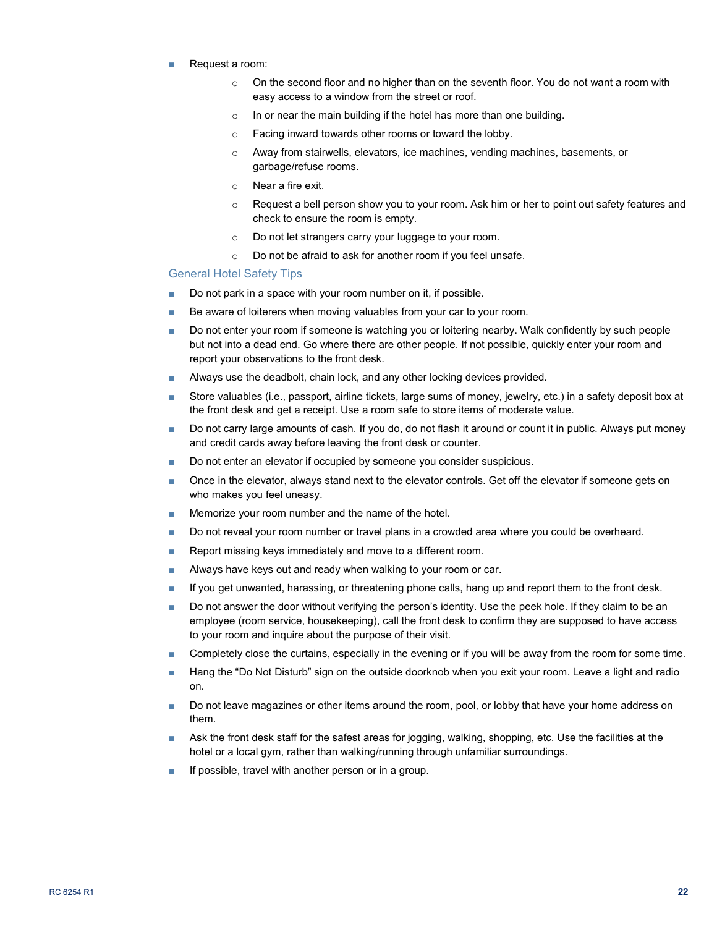- Request a room:
	- $\circ$  On the second floor and no higher than on the seventh floor. You do not want a room with easy access to a window from the street or roof.
	- o In or near the main building if the hotel has more than one building.
	- o Facing inward towards other rooms or toward the lobby.
	- $\circ$  Away from stairwells, elevators, ice machines, vending machines, basements, or garbage/refuse rooms.
	- o Near a fire exit.
	- $\circ$  Request a bell person show you to your room. Ask him or her to point out safety features and check to ensure the room is empty.
	- o Do not let strangers carry your luggage to your room.
	- o Do not be afraid to ask for another room if you feel unsafe.

#### General Hotel Safety Tips

- Do not park in a space with your room number on it, if possible.
- Be aware of loiterers when moving valuables from your car to your room.
- Do not enter your room if someone is watching you or loitering nearby. Walk confidently by such people but not into a dead end. Go where there are other people. If not possible, quickly enter your room and report your observations to the front desk.
- Always use the deadbolt, chain lock, and any other locking devices provided.
- Store valuables (i.e., passport, airline tickets, large sums of money, jewelry, etc.) in a safety deposit box at the front desk and get a receipt. Use a room safe to store items of moderate value.
- Do not carry large amounts of cash. If you do, do not flash it around or count it in public. Always put money and credit cards away before leaving the front desk or counter.
- Do not enter an elevator if occupied by someone you consider suspicious.
- Once in the elevator, always stand next to the elevator controls. Get off the elevator if someone gets on who makes you feel uneasy.
- Memorize your room number and the name of the hotel.
- Do not reveal your room number or travel plans in a crowded area where you could be overheard.
- Report missing keys immediately and move to a different room.
- Always have keys out and ready when walking to your room or car.
- If you get unwanted, harassing, or threatening phone calls, hang up and report them to the front desk.
- Do not answer the door without verifying the person's identity. Use the peek hole. If they claim to be an employee (room service, housekeeping), call the front desk to confirm they are supposed to have access to your room and inquire about the purpose of their visit.
- Completely close the curtains, especially in the evening or if you will be away from the room for some time.
- Hang the "Do Not Disturb" sign on the outside doorknob when you exit your room. Leave a light and radio on.
- Do not leave magazines or other items around the room, pool, or lobby that have your home address on them.
- Ask the front desk staff for the safest areas for jogging, walking, shopping, etc. Use the facilities at the hotel or a local gym, rather than walking/running through unfamiliar surroundings.
- If possible, travel with another person or in a group.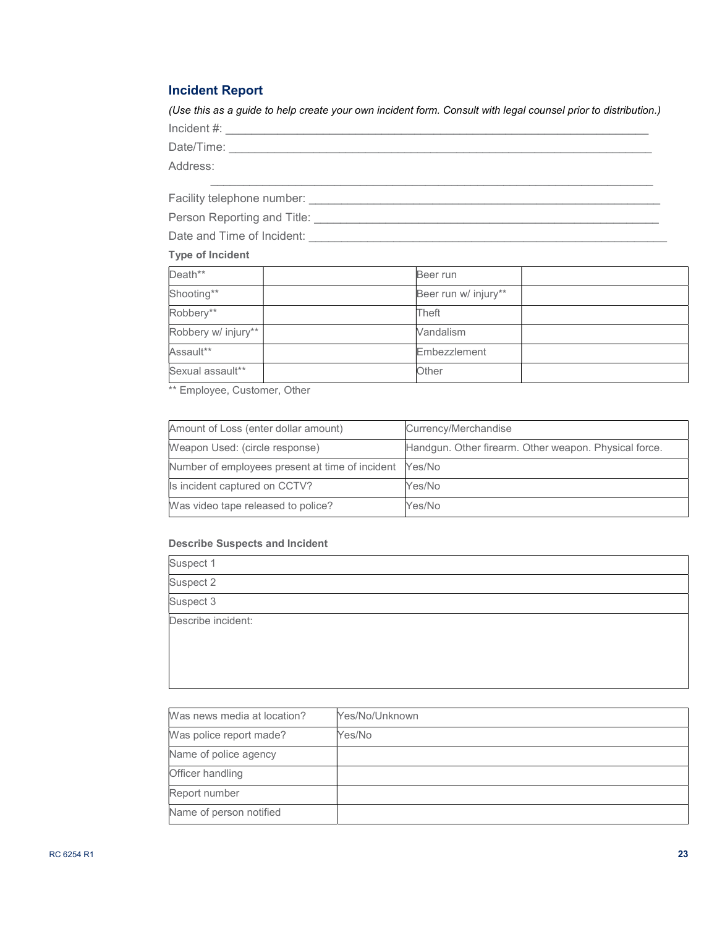### Incident Report

(Use this as a guide to help create your own incident form. Consult with legal counsel prior to distribution.)  $Incident \#:$ 

Date/Time:

Address:

Facility telephone number: \_\_\_\_\_\_\_\_\_\_\_\_\_\_\_\_\_\_\_\_\_\_\_\_\_\_\_\_\_\_\_\_\_\_\_\_\_\_\_\_\_\_\_\_\_\_\_\_\_\_\_\_\_\_

Person Reporting and Title: \_\_\_\_\_\_\_\_\_\_\_\_\_\_\_\_\_\_\_\_\_\_\_\_\_\_\_\_\_\_\_\_\_\_\_\_\_\_\_\_\_\_\_\_\_\_\_\_\_\_\_\_\_

Date and Time of Incident: \_\_\_\_\_\_\_\_\_\_\_\_\_\_\_\_\_\_\_\_\_\_\_\_\_\_\_\_\_\_\_\_\_\_\_\_\_\_\_\_\_\_\_\_\_\_\_\_\_\_\_\_\_\_\_

### Type of Incident

| Death**             | Beer run |                      |
|---------------------|----------|----------------------|
| Shooting**          |          | Beer run w/ injury** |
| Robbery**           | Theft    |                      |
| Robbery w/ injury** |          | Vandalism            |
| Assault**           |          | Embezzlement         |
| Sexual assault**    | Other    |                      |

\*\* Employee, Customer, Other

| Amount of Loss (enter dollar amount)            | Currency/Merchandise                                  |
|-------------------------------------------------|-------------------------------------------------------|
| Weapon Used: (circle response)                  | Handgun. Other firearm. Other weapon. Physical force. |
| Number of employees present at time of incident | Yes/No                                                |
| Is incident captured on CCTV?                   | Yes/No                                                |
| Was video tape released to police?              | Yes/No                                                |

#### Describe Suspects and Incident

| Suspect 1          |  |
|--------------------|--|
| Suspect 2          |  |
| Suspect 3          |  |
| Describe incident: |  |

| Was news media at location? | Yes/No/Unknown |
|-----------------------------|----------------|
| Was police report made?     | Yes/No         |
| Name of police agency       |                |
| Officer handling            |                |
| Report number               |                |
| Name of person notified     |                |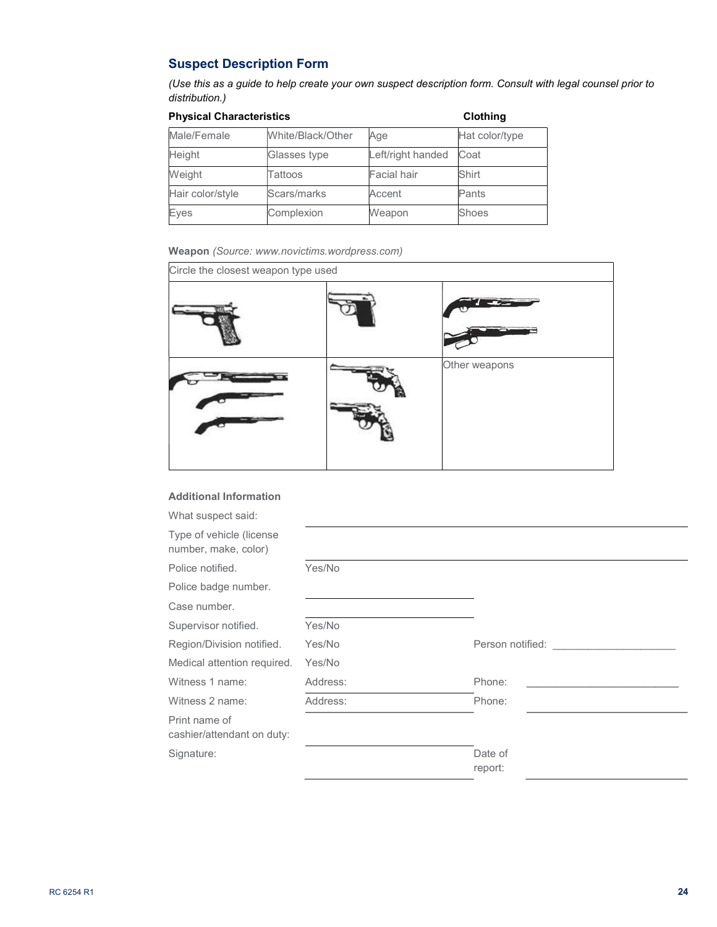# Suspect Description Form

(Use this as a guide to help create your own suspect description form. Consult with legal counsel prior to distribution.)

| <b>Physical Characteristics</b> |                   | <b>Clothing</b>   |                |  |
|---------------------------------|-------------------|-------------------|----------------|--|
| Male/Female                     | White/Black/Other | Age               | Hat color/type |  |
| Height                          | Glasses type      | Left/right handed | Coat           |  |
| Weight                          | Tattoos           | Facial hair       | Shirt          |  |
| Hair color/style                | Scars/marks       | Accent            | Pants          |  |
| Eyes                            | Complexion        | Weapon            | Shoes          |  |

### Weapon (Source: www.novictims.wordpress.com)

| Circle the closest weapon type used |  |               |
|-------------------------------------|--|---------------|
|                                     |  |               |
|                                     |  | Other weapons |

### Additional Information

| What suspect said:                               |          |                  |  |
|--------------------------------------------------|----------|------------------|--|
| Type of vehicle (license<br>number, make, color) |          |                  |  |
| Police notified.                                 | Yes/No   |                  |  |
| Police badge number.                             |          |                  |  |
| Case number.                                     |          |                  |  |
| Supervisor notified.                             | Yes/No   |                  |  |
| Region/Division notified.                        | Yes/No   | Person notified: |  |
| Medical attention required.                      | Yes/No   |                  |  |
| Witness 1 name:                                  | Address: | Phone:           |  |
| Witness 2 name:                                  | Address: | Phone:           |  |
| Print name of<br>cashier/attendant on duty:      |          |                  |  |
| Signature:                                       |          | Date of          |  |
|                                                  |          | report:          |  |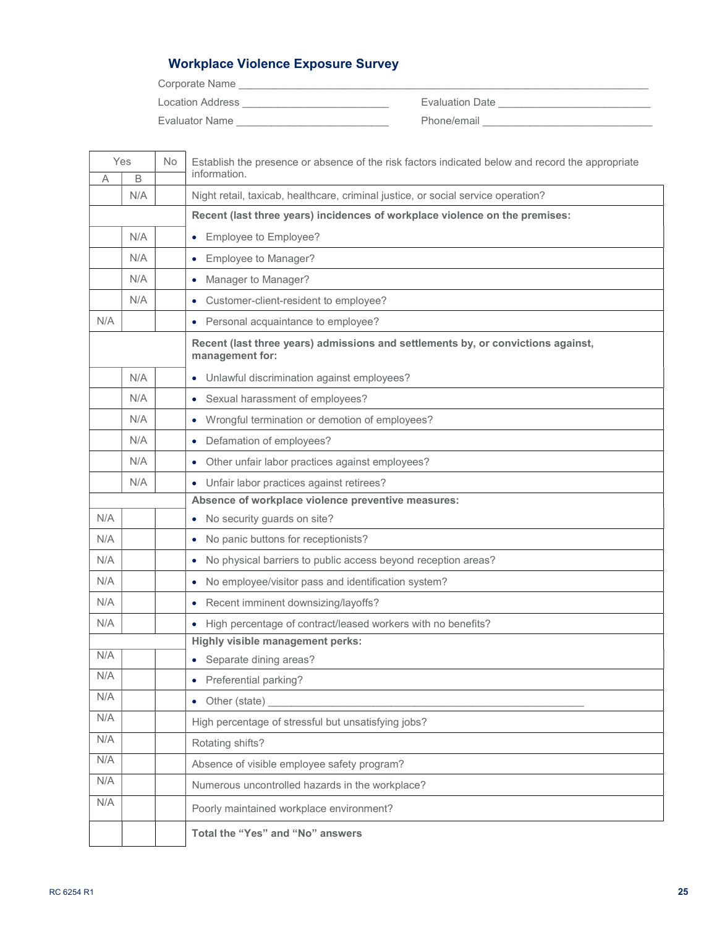# Workplace Violence Exposure Survey

Corporate Name

 $\overline{\phantom{a}}$ 

| <b>OUI PUTATO TIGHTO</b> |                        |
|--------------------------|------------------------|
| Location Address         | <b>Evaluation Date</b> |
| Evaluator Name           | Phone/email            |

| Α   | Yes<br>В | <b>No</b> | Establish the presence or absence of the risk factors indicated below and record the appropriate<br>information. |
|-----|----------|-----------|------------------------------------------------------------------------------------------------------------------|
|     | N/A      |           | Night retail, taxicab, healthcare, criminal justice, or social service operation?                                |
|     |          |           | Recent (last three years) incidences of workplace violence on the premises:                                      |
|     | N/A      |           | • Employee to Employee?                                                                                          |
|     | N/A      |           | • Employee to Manager?                                                                                           |
|     | N/A      |           | • Manager to Manager?                                                                                            |
|     | N/A      |           | • Customer-client-resident to employee?                                                                          |
| N/A |          |           | • Personal acquaintance to employee?                                                                             |
|     |          |           | Recent (last three years) admissions and settlements by, or convictions against,<br>management for:              |
|     | N/A      |           | • Unlawful discrimination against employees?                                                                     |
|     | N/A      |           | • Sexual harassment of employees?                                                                                |
|     | N/A      |           | • Wrongful termination or demotion of employees?                                                                 |
|     | N/A      |           | • Defamation of employees?                                                                                       |
|     | N/A      |           | • Other unfair labor practices against employees?                                                                |
|     | N/A      |           | • Unfair labor practices against retirees?                                                                       |
|     |          |           | Absence of workplace violence preventive measures:                                                               |
| N/A |          |           | • No security guards on site?                                                                                    |
| N/A |          |           | • No panic buttons for receptionists?                                                                            |
| N/A |          |           | • No physical barriers to public access beyond reception areas?                                                  |
| N/A |          |           | • No employee/visitor pass and identification system?                                                            |
| N/A |          |           | • Recent imminent downsizing/layoffs?                                                                            |
| N/A |          |           | • High percentage of contract/leased workers with no benefits?                                                   |
|     |          |           | <b>Highly visible management perks:</b>                                                                          |
| N/A |          |           | • Separate dining areas?                                                                                         |
| N/A |          |           | Preferential parking?                                                                                            |
| N/A |          |           | • Other (state)                                                                                                  |
| N/A |          |           | High percentage of stressful but unsatisfying jobs?                                                              |
| N/A |          |           | Rotating shifts?                                                                                                 |
| N/A |          |           | Absence of visible employee safety program?                                                                      |
| N/A |          |           | Numerous uncontrolled hazards in the workplace?                                                                  |
| N/A |          |           | Poorly maintained workplace environment?                                                                         |
|     |          |           | Total the "Yes" and "No" answers                                                                                 |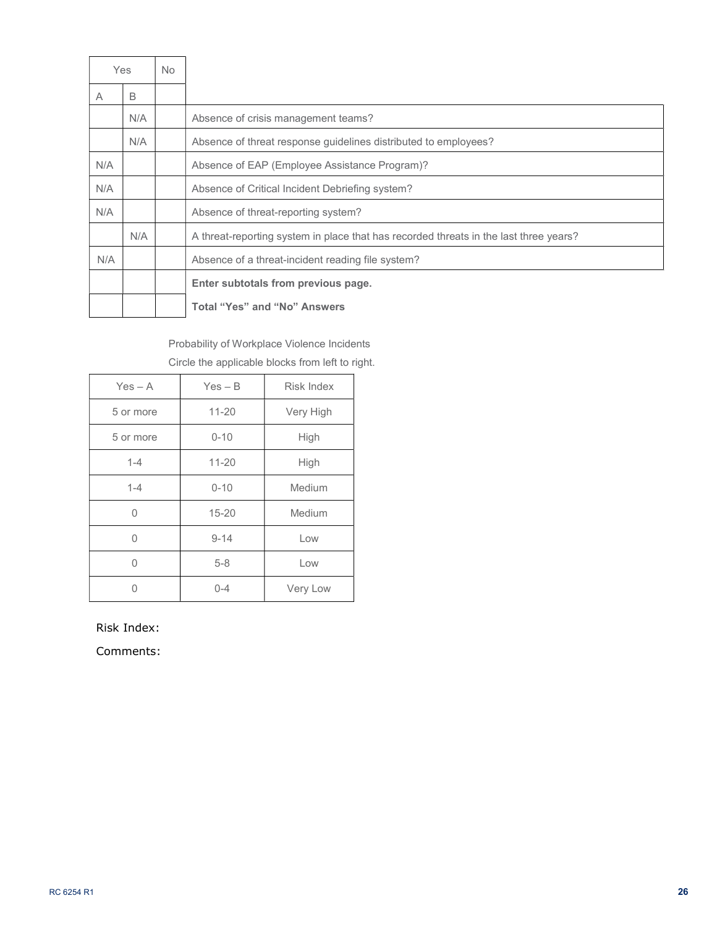| Yes |     | <b>No</b> |                                                                                       |
|-----|-----|-----------|---------------------------------------------------------------------------------------|
| A   | B   |           |                                                                                       |
|     | N/A |           | Absence of crisis management teams?                                                   |
|     | N/A |           | Absence of threat response guidelines distributed to employees?                       |
| N/A |     |           | Absence of EAP (Employee Assistance Program)?                                         |
| N/A |     |           | Absence of Critical Incident Debriefing system?                                       |
| N/A |     |           | Absence of threat-reporting system?                                                   |
|     | N/A |           | A threat-reporting system in place that has recorded threats in the last three years? |
| N/A |     |           | Absence of a threat-incident reading file system?                                     |
|     |     |           | Enter subtotals from previous page.                                                   |
|     |     |           | Total "Yes" and "No" Answers                                                          |

Probability of Workplace Violence Incidents

Circle the applicable blocks from left to right.

| $Yes - A$ | $Yes - B$ | Risk Index |
|-----------|-----------|------------|
| 5 or more | $11 - 20$ | Very High  |
| 5 or more | $0 - 10$  | High       |
| $1 - 4$   | $11 - 20$ | High       |
| $1 - 4$   | $0 - 10$  | Medium     |
| O         | $15 - 20$ | Medium     |
| O         | $9 - 14$  | Low        |
| Ω         | $5 - 8$   | Low        |
|           | $0 - 4$   | Very Low   |

Risk Index:

Comments: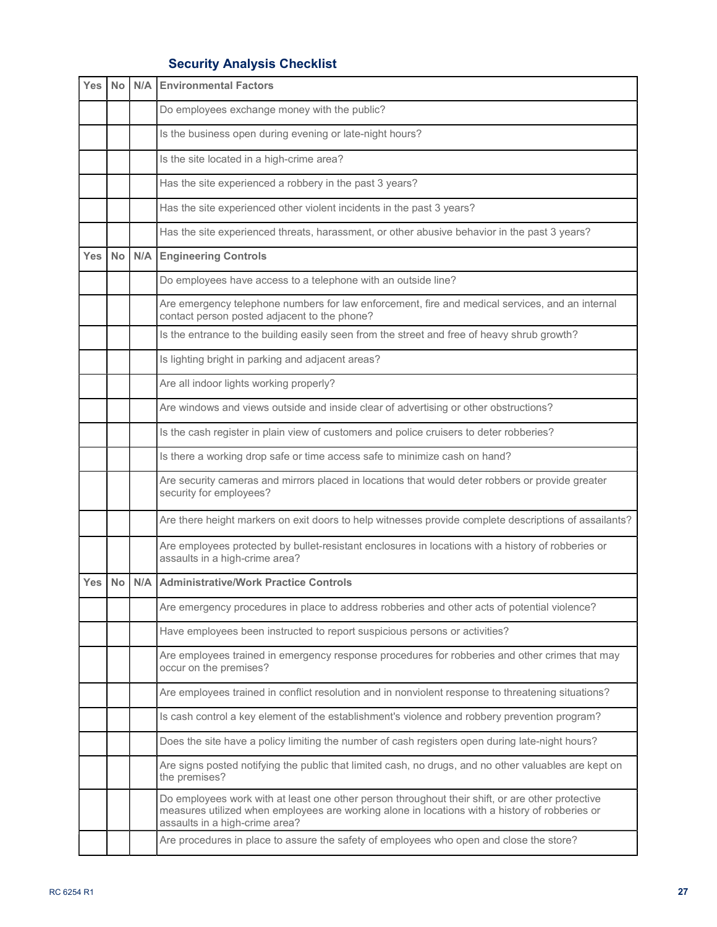# Security Analysis Checklist

| Yes        | <b>No</b> |     | N/A Environmental Factors                                                                                                                                                                                                            |
|------------|-----------|-----|--------------------------------------------------------------------------------------------------------------------------------------------------------------------------------------------------------------------------------------|
|            |           |     | Do employees exchange money with the public?                                                                                                                                                                                         |
|            |           |     | Is the business open during evening or late-night hours?                                                                                                                                                                             |
|            |           |     | Is the site located in a high-crime area?                                                                                                                                                                                            |
|            |           |     | Has the site experienced a robbery in the past 3 years?                                                                                                                                                                              |
|            |           |     | Has the site experienced other violent incidents in the past 3 years?                                                                                                                                                                |
|            |           |     | Has the site experienced threats, harassment, or other abusive behavior in the past 3 years?                                                                                                                                         |
| <b>Yes</b> | <b>No</b> | N/A | <b>Engineering Controls</b>                                                                                                                                                                                                          |
|            |           |     | Do employees have access to a telephone with an outside line?                                                                                                                                                                        |
|            |           |     | Are emergency telephone numbers for law enforcement, fire and medical services, and an internal<br>contact person posted adjacent to the phone?                                                                                      |
|            |           |     | Is the entrance to the building easily seen from the street and free of heavy shrub growth?                                                                                                                                          |
|            |           |     | Is lighting bright in parking and adjacent areas?                                                                                                                                                                                    |
|            |           |     | Are all indoor lights working properly?                                                                                                                                                                                              |
|            |           |     | Are windows and views outside and inside clear of advertising or other obstructions?                                                                                                                                                 |
|            |           |     | Is the cash register in plain view of customers and police cruisers to deter robberies?                                                                                                                                              |
|            |           |     | Is there a working drop safe or time access safe to minimize cash on hand?                                                                                                                                                           |
|            |           |     | Are security cameras and mirrors placed in locations that would deter robbers or provide greater<br>security for employees?                                                                                                          |
|            |           |     | Are there height markers on exit doors to help witnesses provide complete descriptions of assailants?                                                                                                                                |
|            |           |     | Are employees protected by bullet-resistant enclosures in locations with a history of robberies or<br>assaults in a high-crime area?                                                                                                 |
| <b>Yes</b> | <b>No</b> |     | N/A Administrative/Work Practice Controls                                                                                                                                                                                            |
|            |           |     | Are emergency procedures in place to address robberies and other acts of potential violence?                                                                                                                                         |
|            |           |     | Have employees been instructed to report suspicious persons or activities?                                                                                                                                                           |
|            |           |     | Are employees trained in emergency response procedures for robberies and other crimes that may<br>occur on the premises?                                                                                                             |
|            |           |     | Are employees trained in conflict resolution and in nonviolent response to threatening situations?                                                                                                                                   |
|            |           |     | Is cash control a key element of the establishment's violence and robbery prevention program?                                                                                                                                        |
|            |           |     | Does the site have a policy limiting the number of cash registers open during late-night hours?                                                                                                                                      |
|            |           |     | Are signs posted notifying the public that limited cash, no drugs, and no other valuables are kept on<br>the premises?                                                                                                               |
|            |           |     | Do employees work with at least one other person throughout their shift, or are other protective<br>measures utilized when employees are working alone in locations with a history of robberies or<br>assaults in a high-crime area? |
|            |           |     | Are procedures in place to assure the safety of employees who open and close the store?                                                                                                                                              |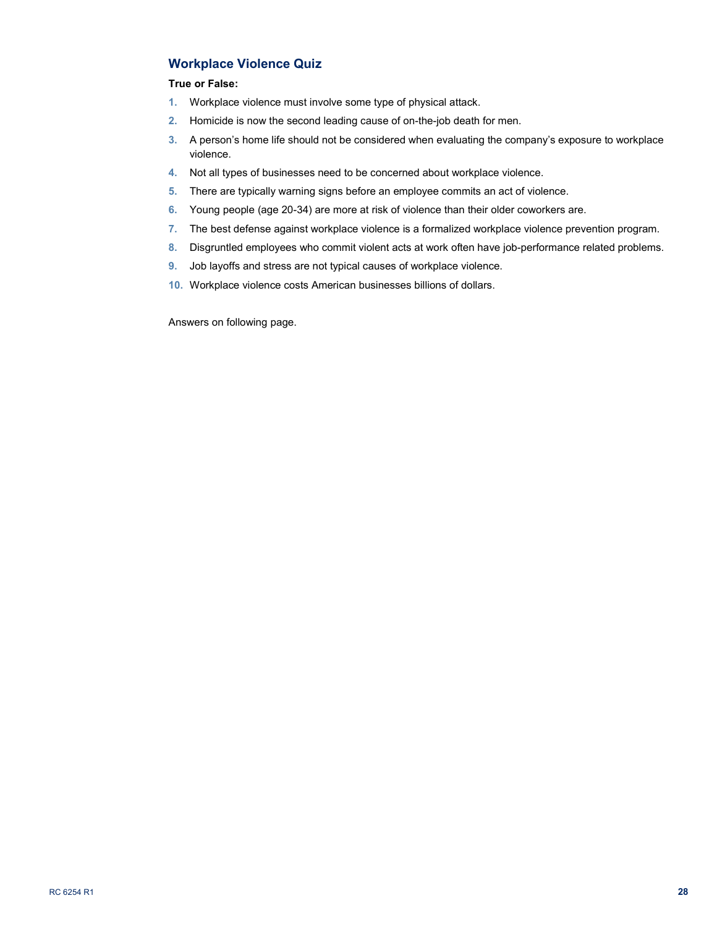### Workplace Violence Quiz

### True or False:

- 1. Workplace violence must involve some type of physical attack.
- 2. Homicide is now the second leading cause of on-the-job death for men.
- 3. A person's home life should not be considered when evaluating the company's exposure to workplace violence.
- 4. Not all types of businesses need to be concerned about workplace violence.
- 5. There are typically warning signs before an employee commits an act of violence.
- 6. Young people (age 20-34) are more at risk of violence than their older coworkers are.
- 7. The best defense against workplace violence is a formalized workplace violence prevention program.
- 8. Disgruntled employees who commit violent acts at work often have job-performance related problems.
- 9. Job layoffs and stress are not typical causes of workplace violence.
- 10. Workplace violence costs American businesses billions of dollars.

Answers on following page.